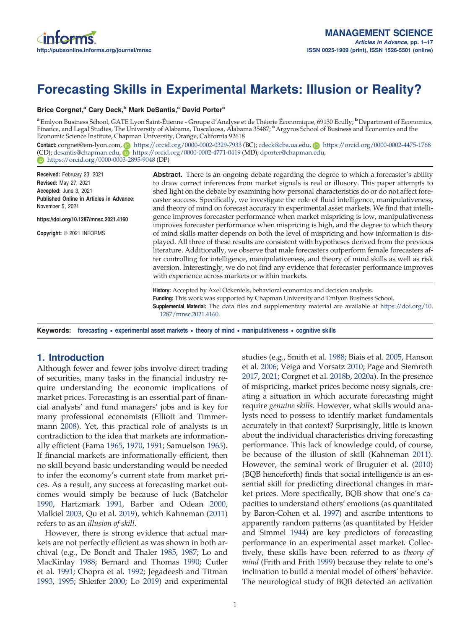# Forecasting Skills in Experimental Markets: Illusion or Reality?

#### Brice Corgnet,<sup>a</sup> Cary Deck,<sup>b</sup> Mark DeSantis,<sup>c</sup> David Porter<sup>c</sup>

a<br>Emlyon Business School, GATE Lyon Saint-Étienne - Groupe d'Analyse et de Théorie Économique, 69130 Ecully; <sup>b</sup> Department of Economics, Finance, and Legal Studies, The University of Alabama, Tuscaloosa, Alabama 35487; <sup>e</sup> Argyros School of Business and Economics and the Economic Science Institute, Chapman University, Orange, California 92618

Contact: corgnet@em-lyon.com, n<https://orcid.org/0000-0002-0329-7933> (BC); [cdeck@cba.ua.edu](mailto:cdeck@cba.ua.edu), n<https://orcid.org/0000-0002-4475-1768> (CD); [desantis@chapman.edu,](mailto:desantis@chapman.edu) n <https://orcid.org/0000-0002-4771-0419> (MD); [dporter@chapman.edu,](mailto:dporter@chapman.edu) <https://orcid.org/0000-0003-2895-9048> (DP)

Received: February 23, 2021 Revised: May 27, 2021 Accepted: June 3, 2021 Published Online in Articles in Advance: November 5, 2021

https://doi.org/10.1287/mnsc.2021.4160

Copyright: © 2021 INFORMS

Abstract. There is an ongoing debate regarding the degree to which a forecaster's ability to draw correct inferences from market signals is real or illusory. This paper attempts to shed light on the debate by examining how personal characteristics do or do not affect forecaster success. Specifically, we investigate the role of fluid intelligence, manipulativeness, and theory of mind on forecast accuracy in experimental asset markets. We find that intelligence improves forecaster performance when market mispricing is low, manipulativeness improves forecaster performance when mispricing is high, and the degree to which theory of mind skills matter depends on both the level of mispricing and how information is displayed. All three of these results are consistent with hypotheses derived from the previous literature. Additionally, we observe that male forecasters outperform female forecasters after controlling for intelligence, manipulativeness, and theory of mind skills as well as risk aversion. Interestingly, we do not find any evidence that forecaster performance improves with experience across markets or within markets.

History: Accepted by Axel Ockenfels, behavioral economics and decision analysis. Funding: This work was supported by Chapman University and Emlyon Business School. Supplemental Material: The data files and supplementary material are available at [https://doi.org/10.](https://doi.org/10.1287/mnsc.2021.4160) [1287/mnsc.2021.4160.](https://doi.org/10.1287/mnsc.2021.4160)

Keywords: forecasting • experimental asset markets • theory of mind • manipulativeness • cognitive skills

# 1. Introduction

Although fewer and fewer jobs involve direct trading of securities, many tasks in the financial industry require understanding the economic implications of market prices. Forecasting is an essential part of financial analysts' and fund managers' jobs and is key for many professional economists (Elliott and Timmermann [2008](#page-15-0)). Yet, this practical role of analysts is in contradiction to the idea that markets are informationally efficient (Fama [1965](#page-15-0), [1970](#page-15-0), [1991](#page-15-0); Samuelson [1965\)](#page-16-0). If financial markets are informationally efficient, then no skill beyond basic understanding would be needed to infer the economy's current state from market prices. As a result, any success at forecasting market outcomes would simply be because of luck (Batchelor [1990,](#page-14-0) Hartzmark [1991](#page-15-0), Barber and Odean [2000,](#page-14-0) Malkiel [2003,](#page-15-0) Qu et al. [2019\)](#page-16-0), which Kahneman [\(2011](#page-15-0)) refers to as an *illusion of skill*.

However, there is strong evidence that actual markets are not perfectly efficient as was shown in both archival (e.g., De Bondt and Thaler [1985](#page-15-0), [1987;](#page-15-0) Lo and MacKinlay [1988](#page-15-0); Bernard and Thomas [1990](#page-14-0); Cutler et al. [1991;](#page-15-0) Chopra et al. [1992;](#page-14-0) Jegadeesh and Titman [1993,](#page-15-0) [1995;](#page-15-0) Shleifer [2000;](#page-16-0) Lo [2019\)](#page-15-0) and experimental studies (e.g., Smith et al. [1988;](#page-16-0) Biais et al. [2005,](#page-14-0) Hanson et al. [2006](#page-15-0); Veiga and Vorsatz [2010;](#page-16-0) Page and Siemroth [2017](#page-15-0), [2021](#page-15-0); Corgnet et al. [2018b,](#page-14-0) [2020a](#page-14-0)). In the presence of mispricing, market prices become noisy signals, creating a situation in which accurate forecasting might require *genuine skills*. However, what skills would analysts need to possess to identify market fundamentals accurately in that context? Surprisingly, little is known about the individual characteristics driving forecasting performance. This lack of knowledge could, of course, be because of the illusion of skill (Kahneman [2011](#page-15-0)). However, the seminal work of Bruguier et al. [\(2010\)](#page-14-0) (BQB henceforth) finds that social intelligence is an essential skill for predicting directional changes in market prices. More specifically, BQB show that one's capacities to understand others' emotions (as quantitated by Baron-Cohen et al. [1997](#page-14-0)) and ascribe intentions to apparently random patterns (as quantitated by Heider and Simmel [1944\)](#page-15-0) are key predictors of forecasting performance in an experimental asset market. Collectively, these skills have been referred to as *theory of mind* (Frith and Frith [1999](#page-15-0)) because they relate to one's inclination to build a mental model of others' behavior. The neurological study of BQB detected an activation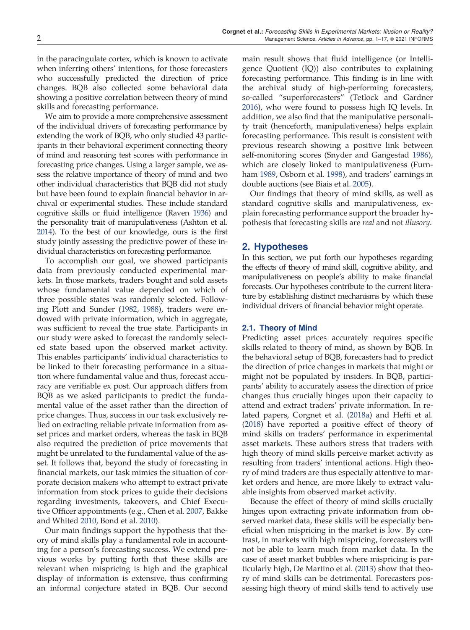in the paracingulate cortex, which is known to activate when inferring others' intentions, for those forecasters who successfully predicted the direction of price changes. BQB also collected some behavioral data showing a positive correlation between theory of mind skills and forecasting performance.

We aim to provide a more comprehensive assessment of the individual drivers of forecasting performance by extending the work of BQB, who only studied 43 participants in their behavioral experiment connecting theory of mind and reasoning test scores with performance in forecasting price changes. Using a larger sample, we assess the relative importance of theory of mind and two other individual characteristics that BQB did not study but have been found to explain financial behavior in archival or experimental studies. These include standard cognitive skills or fluid intelligence (Raven [1936](#page-16-0)) and the personality trait of manipulativeness (Ashton et al. [2014](#page-14-0)). To the best of our knowledge, ours is the first study jointly assessing the predictive power of these individual characteristics on forecasting performance.

To accomplish our goal, we showed participants data from previously conducted experimental markets. In those markets, traders bought and sold assets whose fundamental value depended on which of three possible states was randomly selected. Following Plott and Sunder ([1982,](#page-15-0) [1988\)](#page-15-0), traders were endowed with private information, which in aggregate, was sufficient to reveal the true state. Participants in our study were asked to forecast the randomly selected state based upon the observed market activity. This enables participants' individual characteristics to be linked to their forecasting performance in a situation where fundamental value and thus, forecast accuracy are verifiable ex post. Our approach differs from BQB as we asked participants to predict the fundamental value of the asset rather than the direction of price changes. Thus, success in our task exclusively relied on extracting reliable private information from asset prices and market orders, whereas the task in BQB also required the prediction of price movements that might be unrelated to the fundamental value of the asset. It follows that, beyond the study of forecasting in financial markets, our task mimics the situation of corporate decision makers who attempt to extract private information from stock prices to guide their decisions regarding investments, takeovers, and Chief Executive Officer appointments (e.g., Chen et al. [2007,](#page-14-0) Bakke and Whited [2010,](#page-14-0) Bond et al. [2010](#page-14-0)).

Our main findings support the hypothesis that theory of mind skills play a fundamental role in accounting for a person's forecasting success. We extend previous works by putting forth that these skills are relevant when mispricing is high and the graphical display of information is extensive, thus confirming an informal conjecture stated in BQB. Our second

main result shows that fluid intelligence (or Intelligence Quotient (IQ)) also contributes to explaining forecasting performance. This finding is in line with the archival study of high-performing forecasters, so-called "superforecasters" (Tetlock and Gardner [2016](#page-16-0)), who were found to possess high IQ levels. In addition, we also find that the manipulative personality trait (henceforth, manipulativeness) helps explain forecasting performance. This result is consistent with previous research showing a positive link between self-monitoring scores (Snyder and Gangestad [1986](#page-16-0)), which are closely linked to manipulativeness (Furnham [1989](#page-15-0), Osborn et al. [1998](#page-15-0)), and traders' earnings in double auctions (see Biais et al. [2005](#page-14-0)).

Our findings that theory of mind skills, as well as standard cognitive skills and manipulativeness, explain forecasting performance support the broader hypothesis that forecasting skills are *real* and not *illusory*.

# 2. Hypotheses

In this section, we put forth our hypotheses regarding the effects of theory of mind skill, cognitive ability, and manipulativeness on people's ability to make financial forecasts. Our hypotheses contribute to the current literature by establishing distinct mechanisms by which these individual drivers of financial behavior might operate.

#### 2.1. Theory of Mind

Predicting asset prices accurately requires specific skills related to theory of mind, as shown by BQB. In the behavioral setup of BQB, forecasters had to predict the direction of price changes in markets that might or might not be populated by insiders. In BQB, participants' ability to accurately assess the direction of price changes thus crucially hinges upon their capacity to attend and extract traders' private information. In related papers, Corgnet et al. [\(2018a](#page-14-0)) and Hefti et al. ([2018\)](#page-15-0) have reported a positive effect of theory of mind skills on traders' performance in experimental asset markets. These authors stress that traders with high theory of mind skills perceive market activity as resulting from traders' intentional actions. High theory of mind traders are thus especially attentive to market orders and hence, are more likely to extract valuable insights from observed market activity.

Because the effect of theory of mind skills crucially hinges upon extracting private information from observed market data, these skills will be especially beneficial when mispricing in the market is low. By contrast, in markets with high mispricing, forecasters will not be able to learn much from market data. In the case of asset market bubbles where mispricing is particularly high, De Martino et al. [\(2013\)](#page-15-0) show that theory of mind skills can be detrimental. Forecasters possessing high theory of mind skills tend to actively use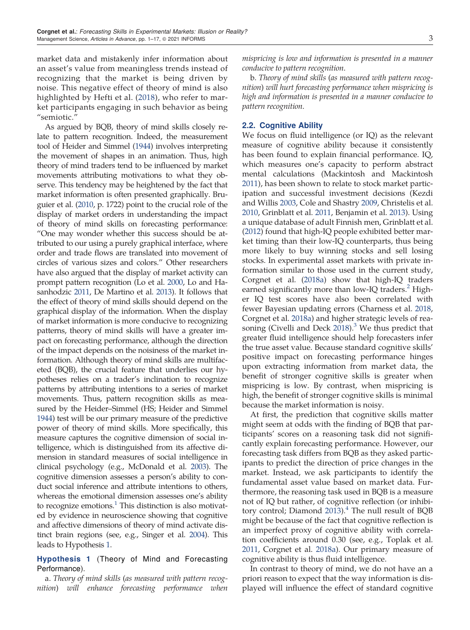<span id="page-2-0"></span>market data and mistakenly infer information about an asset's value from meaningless trends instead of recognizing that the market is being driven by noise. This negative effect of theory of mind is also highlighted by Hefti et al. ([2018\)](#page-15-0), who refer to market participants engaging in such behavior as being "semiotic."

As argued by BQB, theory of mind skills closely relate to pattern recognition. Indeed, the measurement tool of Heider and Simmel [\(1944](#page-15-0)) involves interpreting the movement of shapes in an animation. Thus, high theory of mind traders tend to be influenced by market movements attributing motivations to what they observe. This tendency may be heightened by the fact that market information is often presented graphically. Bruguier et al. [\(2010](#page-14-0), p. 1722) point to the crucial role of the display of market orders in understanding the impact of theory of mind skills on forecasting performance: "One may wonder whether this success should be attributed to our using a purely graphical interface, where order and trade flows are translated into movement of circles of various sizes and colors." Other researchers have also argued that the display of market activity can prompt pattern recognition (Lo et al. [2000,](#page-15-0) Lo and Hasanhodzic [2011](#page-15-0), De Martino et al. [2013\)](#page-15-0). It follows that the effect of theory of mind skills should depend on the graphical display of the information. When the display of market information is more conducive to recognizing patterns, theory of mind skills will have a greater impact on forecasting performance, although the direction of the impact depends on the noisiness of the market information. Although theory of mind skills are multifaceted (BQB), the crucial feature that underlies our hypotheses relies on a trader's inclination to recognize patterns by attributing intentions to a series of market movements. Thus, pattern recognition skills as measured by the Heider–Simmel (HS; Heider and Simmel [1944](#page-15-0)) test will be our primary measure of the predictive power of theory of mind skills. More specifically, this measure captures the cognitive dimension of social intelligence, which is distinguished from its affective dimension in standard measures of social intelligence in clinical psychology (e.g., McDonald et al. [2003\)](#page-15-0). The cognitive dimension assesses a person's ability to conduct social inference and attribute intentions to others, whereas the emotional dimension assesses one's ability to recognize emotions.<sup>[1](#page-13-0)</sup> This distinction is also motivated by evidence in neuroscience showing that cognitive and affective dimensions of theory of mind activate distinct brain regions (see, e.g., Singer et al. [2004\)](#page-16-0). This leads to Hypothesis 1.

Hypothesis 1 (Theory of Mind and Forecasting Performance).

a. *Theory of mind skills* (*as measured with pattern recognition*) *will enhance forecasting performance when*

*mispricing is low and information is presented in a manner conducive to pattern recognition*.

b. *Theory of mind skills* (*as measured with pattern recognition*) *will hurt forecasting performance when mispricing is high and information is presented in a manner conducive to pattern recognition*.

## 2.2. Cognitive Ability

We focus on fluid intelligence (or IQ) as the relevant measure of cognitive ability because it consistently has been found to explain financial performance. IQ, which measures one's capacity to perform abstract mental calculations (Mackintosh and Mackintosh [2011](#page-15-0)), has been shown to relate to stock market participation and successful investment decisions (Kezdi and Willis [2003](#page-15-0), Cole and Shastry [2009,](#page-14-0) Christelis et al. [2010](#page-14-0), Grinblatt et al. [2011](#page-15-0), Benjamin et al. [2013\)](#page-14-0). Using a unique database of adult Finnish men, Grinblatt et al. ([2012\)](#page-15-0) found that high-IQ people exhibited better market timing than their low-IQ counterparts, thus being more likely to buy winning stocks and sell losing stocks. In experimental asset markets with private information similar to those used in the current study, Corgnet et al. [\(2018a](#page-14-0)) show that high-IQ traders earned significantly more than low-IQ traders.  $\pm$  Higher IQ test scores have also been correlated with fewer Bayesian updating errors (Charness et al. [2018](#page-14-0), Corgnet et al. [2018a\)](#page-14-0) and higher strategic levels of rea-soning (Civelli and Deck [2018\)](#page-14-0). $3$  We thus predict that greater fluid intelligence should help forecasters infer the true asset value. Because standard cognitive skills' positive impact on forecasting performance hinges upon extracting information from market data, the benefit of stronger cognitive skills is greater when mispricing is low. By contrast, when mispricing is high, the benefit of stronger cognitive skills is minimal because the market information is noisy.

At first, the prediction that cognitive skills matter might seem at odds with the finding of BQB that participants' scores on a reasoning task did not significantly explain forecasting performance. However, our forecasting task differs from BQB as they asked participants to predict the direction of price changes in the market. Instead, we ask participants to identify the fundamental asset value based on market data. Furthermore, the reasoning task used in BQB is a measure not of IQ but rather, of cognitive reflection (or inhibi-tory control; Diamond [2013](#page-15-0)).<sup>[4](#page-13-0)</sup> The null result of BQB might be because of the fact that cognitive reflection is an imperfect proxy of cognitive ability with correlation coefficients around 0.30 (see, e.g., Toplak et al. [2011](#page-16-0), Corgnet et al. [2018a\)](#page-14-0). Our primary measure of cognitive ability is thus fluid intelligence.

In contrast to theory of mind, we do not have an a priori reason to expect that the way information is displayed will influence the effect of standard cognitive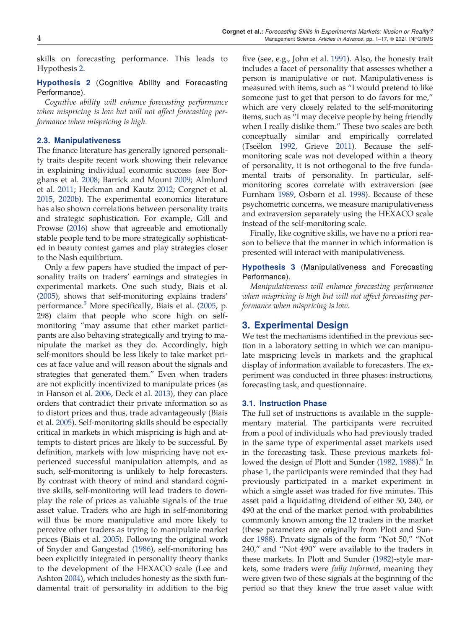<span id="page-3-0"></span>skills on forecasting performance. This leads to Hypothesis 2.

## Hypothesis 2 (Cognitive Ability and Forecasting Performance).

*Cognitive ability will enhance forecasting performance when mispricing is low but will not affect forecasting performance when mispricing is high*.

## 2.3. Manipulativeness

The finance literature has generally ignored personality traits despite recent work showing their relevance in explaining individual economic success (see Borghans et al. [2008;](#page-14-0) Barrick and Mount [2009](#page-14-0); Almlund et al. [2011;](#page-14-0) Heckman and Kautz [2012](#page-15-0); Corgnet et al. [2015,](#page-14-0) [2020b](#page-14-0)). The experimental economics literature has also shown correlations between personality traits and strategic sophistication. For example, Gill and Prowse [\(2016\)](#page-15-0) show that agreeable and emotionally stable people tend to be more strategically sophisticated in beauty contest games and play strategies closer to the Nash equilibrium.

Only a few papers have studied the impact of personality traits on traders' earnings and strategies in experimental markets. One such study, Biais et al. [\(2005\)](#page-14-0), shows that self-monitoring explains traders' performance. $5$  More specifically, Biais et al. ([2005,](#page-14-0) p. 298) claim that people who score high on selfmonitoring "may assume that other market participants are also behaving strategically and trying to manipulate the market as they do. Accordingly, high self-monitors should be less likely to take market prices at face value and will reason about the signals and strategies that generated them." Even when traders are not explicitly incentivized to manipulate prices (as in Hanson et al. [2006](#page-15-0), Deck et al. [2013](#page-15-0)), they can place orders that contradict their private information so as to distort prices and thus, trade advantageously (Biais et al. [2005](#page-14-0)). Self-monitoring skills should be especially critical in markets in which mispricing is high and attempts to distort prices are likely to be successful. By definition, markets with low mispricing have not experienced successful manipulation attempts, and as such, self-monitoring is unlikely to help forecasters. By contrast with theory of mind and standard cognitive skills, self-monitoring will lead traders to downplay the role of prices as valuable signals of the true asset value. Traders who are high in self-monitoring will thus be more manipulative and more likely to perceive other traders as trying to manipulate market prices (Biais et al. [2005](#page-14-0)). Following the original work of Snyder and Gangestad ([1986\)](#page-16-0), self-monitoring has been explicitly integrated in personality theory thanks to the development of the HEXACO scale (Lee and Ashton [2004](#page-15-0)), which includes honesty as the sixth fundamental trait of personality in addition to the big

five (see, e.g., John et al. [1991\)](#page-15-0). Also, the honesty trait includes a facet of personality that assesses whether a person is manipulative or not. Manipulativeness is measured with items, such as "I would pretend to like someone just to get that person to do favors for me," which are very closely related to the self-monitoring items, such as "I may deceive people by being friendly when I really dislike them." These two scales are both conceptually similar and empirically correlated (Tseëlon [1992,](#page-16-0) Grieve [2011\)](#page-15-0). Because the selfmonitoring scale was not developed within a theory of personality, it is not orthogonal to the five fundamental traits of personality. In particular, selfmonitoring scores correlate with extraversion (see Furnham [1989,](#page-15-0) Osborn et al. [1998\)](#page-15-0). Because of these psychometric concerns, we measure manipulativeness and extraversion separately using the HEXACO scale instead of the self-monitoring scale.

Finally, like cognitive skills, we have no a priori reason to believe that the manner in which information is presented will interact with manipulativeness.

## Hypothesis 3 (Manipulativeness and Forecasting Performance).

*Manipulativeness will enhance forecasting performance when mispricing is high but will not affect forecasting performance when mispricing is low*.

# 3. Experimental Design

We test the mechanisms identified in the previous section in a laboratory setting in which we can manipulate mispricing levels in markets and the graphical display of information available to forecasters. The experiment was conducted in three phases: instructions, forecasting task, and questionnaire.

#### 3.1. Instruction Phase

The full set of instructions is available in the supplementary material. The participants were recruited from a pool of individuals who had previously traded in the same type of experimental asset markets used in the forecasting task. These previous markets fol-lowed the design of Plott and Sunder ([1982](#page-15-0), [1988](#page-15-0)).<sup>[6](#page-13-0)</sup> In phase 1, the participants were reminded that they had previously participated in a market experiment in which a single asset was traded for five minutes. This asset paid a liquidating dividend of either 50, 240, or 490 at the end of the market period with probabilities commonly known among the 12 traders in the market (these parameters are originally from Plott and Sunder [1988](#page-15-0)). Private signals of the form "Not 50," "Not 240," and "Not 490" were available to the traders in these markets. In Plott and Sunder [\(1982](#page-15-0))-style markets, some traders were *fully informed*, meaning they were given two of these signals at the beginning of the period so that they knew the true asset value with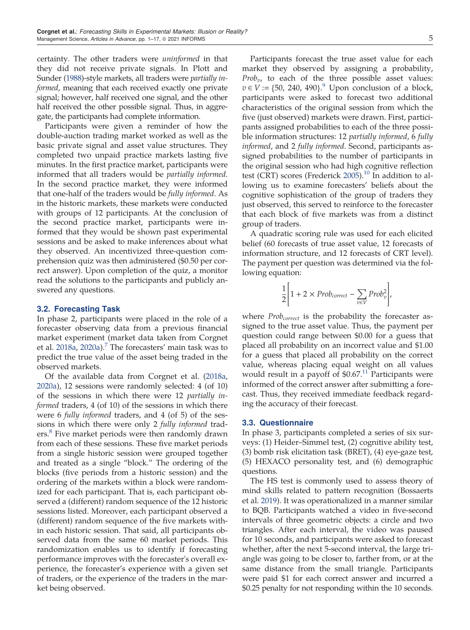certainty. The other traders were *uninformed* in that they did not receive private signals. In Plott and Sunder [\(1988](#page-15-0))-style markets, all traders were *partially informed*, meaning that each received exactly one private signal; however, half received one signal, and the other half received the other possible signal. Thus, in aggregate, the participants had complete information.

Participants were given a reminder of how the double-auction trading market worked as well as the basic private signal and asset value structures. They completed two unpaid practice markets lasting five minutes. In the first practice market, participants were informed that all traders would be *partially informed*. In the second practice market, they were informed that one-half of the traders would be *fully informed*. As in the historic markets, these markets were conducted with groups of 12 participants. At the conclusion of the second practice market, participants were informed that they would be shown past experimental sessions and be asked to make inferences about what they observed. An incentivized three-question comprehension quiz was then administered (\$0.50 per correct answer). Upon completion of the quiz, a monitor read the solutions to the participants and publicly answered any questions.

#### 3.2. Forecasting Task

In phase 2, participants were placed in the role of a forecaster observing data from a previous financial market experiment (market data taken from Corgnet et al. [2018a,](#page-14-0) [2020a\)](#page-14-0).<sup>[7](#page-13-0)</sup> The forecasters' main task was to predict the true value of the asset being traded in the observed markets.

Of the available data from Corgnet et al. [\(2018a](#page-14-0), [2020a\)](#page-14-0), 12 sessions were randomly selected: 4 (of 10) of the sessions in which there were 12 *partially informed* traders, 4 (of 10) of the sessions in which there were 6 *fully informed* traders, and 4 (of 5) of the sessions in which there were only 2 *fully informed* trad-ers.<sup>[8](#page-13-0)</sup> Five market periods were then randomly drawn from each of these sessions. These five market periods from a single historic session were grouped together and treated as a single "block." The ordering of the blocks (five periods from a historic session) and the ordering of the markets within a block were randomized for each participant. That is, each participant observed a (different) random sequence of the 12 historic sessions listed. Moreover, each participant observed a (different) random sequence of the five markets within each historic session. That said, all participants observed data from the same 60 market periods. This randomization enables us to identify if forecasting performance improves with the forecaster's overall experience, the forecaster's experience with a given set of traders, or the experience of the traders in the market being observed.

Participants forecast the true asset value for each market they observed by assigning a probability, *Prob<sub>v</sub>*, to each of the three possible asset values:  $v \in V := \{50, 240, 490\}$  $v \in V := \{50, 240, 490\}$  $v \in V := \{50, 240, 490\}$ .<sup>9</sup> Upon conclusion of a block, participants were asked to forecast two additional characteristics of the original session from which the five (just observed) markets were drawn. First, participants assigned probabilities to each of the three possible information structures: 12 *partially informed*, 6 *fully informed*, and 2 *fully informed*. Second, participants assigned probabilities to the number of participants in the original session who had high cognitive reflection test (CRT) scores (Frederick [2005](#page-15-0)).<sup>[10](#page-13-0)</sup> In addition to allowing us to examine forecasters' beliefs about the cognitive sophistication of the group of traders they just observed, this served to reinforce to the forecaster that each block of five markets was from a distinct group of traders.

A quadratic scoring rule was used for each elicited belief (60 forecasts of true asset value, 12 forecasts of information structure, and 12 forecasts of CRT level). The payment per question was determined via the following equation:

$$
\frac{1}{2} \left[ 1 + 2 \times Prob_{correct} - \sum_{v \in V} Prob_v^2 \right],
$$

where *Probcorrect* is the probability the forecaster assigned to the true asset value. Thus, the payment per question could range between \$0.00 for a guess that placed all probability on an incorrect value and \$1.00 for a guess that placed all probability on the correct value, whereas placing equal weight on all values would result in a payoff of  $$0.67<sup>11</sup>$  $$0.67<sup>11</sup>$  $$0.67<sup>11</sup>$  Participants were informed of the correct answer after submitting a forecast. Thus, they received immediate feedback regarding the accuracy of their forecast.

#### 3.3. Questionnaire

In phase 3, participants completed a series of six surveys: (1) Heider–Simmel test, (2) cognitive ability test, (3) bomb risk elicitation task (BRET), (4) eye-gaze test, (5) HEXACO personality test, and (6) demographic questions.

The HS test is commonly used to assess theory of mind skills related to pattern recognition (Bossaerts et al. [2019\)](#page-14-0). It was operationalized in a manner similar to BQB. Participants watched a video in five-second intervals of three geometric objects: a circle and two triangles. After each interval, the video was paused for 10 seconds, and participants were asked to forecast whether, after the next 5-second interval, the large triangle was going to be closer to, farther from, or at the same distance from the small triangle. Participants were paid \$1 for each correct answer and incurred a \$0.25 penalty for not responding within the 10 seconds.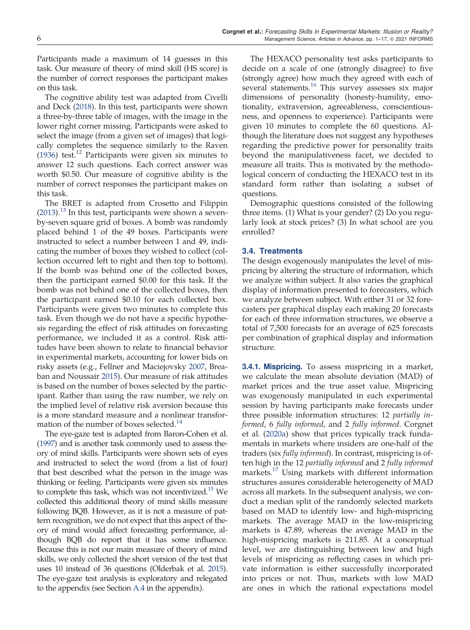Participants made a maximum of 14 guesses in this task. Our measure of theory of mind skill (HS score) is the number of correct responses the participant makes on this task.

The cognitive ability test was adapted from Civelli and Deck [\(2018](#page-14-0)). In this test, participants were shown a three-by-three table of images, with the image in the lower right corner missing. Participants were asked to select the image (from a given set of images) that logically completes the sequence similarly to the Raven [\(1936\)](#page-16-0) test.<sup>[12](#page-13-0)</sup> Participants were given six minutes to answer 12 such questions. Each correct answer was worth \$0.50. Our measure of cognitive ability is the number of correct responses the participant makes on this task.

The BRET is adapted from Crosetto and Filippin  $(2013).$  $(2013).$ <sup>[13](#page-13-0)</sup> In this test, participants were shown a sevenby-seven square grid of boxes. A bomb was randomly placed behind 1 of the 49 boxes. Participants were instructed to select a number between 1 and 49, indicating the number of boxes they wished to collect (collection occurred left to right and then top to bottom). If the bomb was behind one of the collected boxes, then the participant earned \$0.00 for this task. If the bomb was not behind one of the collected boxes, then the participant earned \$0.10 for each collected box. Participants were given two minutes to complete this task. Even though we do not have a specific hypothesis regarding the effect of risk attitudes on forecasting performance, we included it as a control. Risk attitudes have been shown to relate to financial behavior in experimental markets, accounting for lower bids on risky assets (e.g., Fellner and Maciejovsky [2007,](#page-15-0) Breaban and Noussair [2015](#page-14-0)). Our measure of risk attitudes is based on the number of boxes selected by the participant. Rather than using the raw number, we rely on the implied level of relative risk aversion because this is a more standard measure and a nonlinear transfor-mation of the number of boxes selected.<sup>[14](#page-13-0)</sup>

The eye-gaze test is adapted from Baron-Cohen et al. [\(1997\)](#page-14-0) and is another task commonly used to assess theory of mind skills. Participants were shown sets of eyes and instructed to select the word (from a list of four) that best described what the person in the image was thinking or feeling. Participants were given six minutes to complete this task, which was not incentivized.<sup>[15](#page-13-0)</sup> We collected this additional theory of mind skills measure following BQB. However, as it is not a measure of pattern recognition, we do not expect that this aspect of theory of mind would affect forecasting performance, although BQB do report that it has some influence. Because this is not our main measure of theory of mind skills, we only collected the short version of the test that uses 10 instead of 36 questions (Olderbak et al. [2015\)](#page-15-0). The eye-gaze test analysis is exploratory and relegated to the appendix (see Section [A.4](#page-12-0) in the appendix).

The HEXACO personality test asks participants to decide on a scale of one (strongly disagree) to five (strongly agree) how much they agreed with each of several statements.<sup>[16](#page-13-0)</sup> This survey assesses six major dimensions of personality (honesty-humility, emotionality, extraversion, agreeableness, conscientiousness, and openness to experience). Participants were given 10 minutes to complete the 60 questions. Although the literature does not suggest any hypotheses regarding the predictive power for personality traits beyond the manipulativeness facet, we decided to measure all traits. This is motivated by the methodological concern of conducting the HEXACO test in its standard form rather than isolating a subset of questions.

Demographic questions consisted of the following three items. (1) What is your gender? (2) Do you regularly look at stock prices? (3) In what school are you enrolled?

## 3.4. Treatments

The design exogenously manipulates the level of mispricing by altering the structure of information, which we analyze within subject. It also varies the graphical display of information presented to forecasters, which we analyze between subject. With either 31 or 32 forecasters per graphical display each making 20 forecasts for each of three information structures, we observe a total of 7,500 forecasts for an average of 625 forecasts per combination of graphical display and information structure.

**3.4.1. Mispricing.** To assess mispricing in a market, we calculate the mean absolute deviation (MAD) of market prices and the true asset value. Mispricing was exogenously manipulated in each experimental session by having participants make forecasts under three possible information structures: 12 *partially informed*, 6 *fully informed*, and 2 *fully informed*. Corgnet et al. [\(2020a\)](#page-14-0) show that prices typically track fundamentals in markets where insiders are one-half of the traders (six *fully informed*). In contrast, mispricing is often high in the 12 *partially informed* and 2 *fully informed* markets.<sup>[17](#page-13-0)</sup> Using markets with different information structures assures considerable heterogeneity of MAD across all markets. In the subsequent analysis, we conduct a median split of the randomly selected markets based on MAD to identify low- and high-mispricing markets. The average MAD in the low-mispricing markets is 47.89, whereas the average MAD in the high-mispricing markets is 211.85. At a conceptual level, we are distinguishing between low and high levels of mispricing as reflecting cases in which private information is either successfully incorporated into prices or not. Thus, markets with low MAD are ones in which the rational expectations model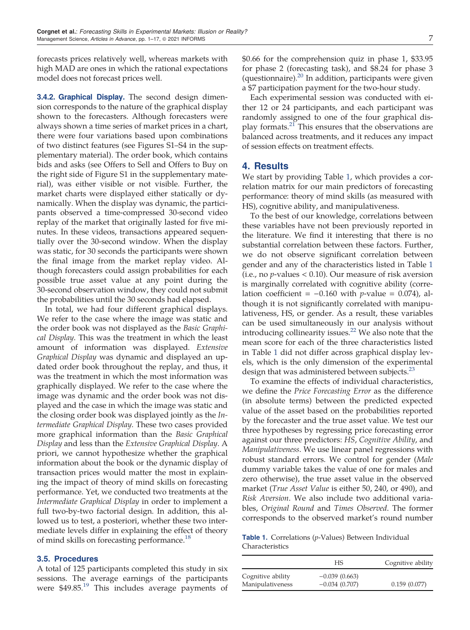forecasts prices relatively well, whereas markets with high MAD are ones in which the rational expectations model does not forecast prices well.

**3.4.2. Graphical Display.** The second design dimension corresponds to the nature of the graphical display shown to the forecasters. Although forecasters were always shown a time series of market prices in a chart, there were four variations based upon combinations of two distinct features (see Figures S1–S4 in the supplementary material). The order book, which contains bids and asks (see Offers to Sell and Offers to Buy on the right side of Figure S1 in the supplementary material), was either visible or not visible. Further, the market charts were displayed either statically or dynamically. When the display was dynamic, the participants observed a time-compressed 30-second video replay of the market that originally lasted for five minutes. In these videos, transactions appeared sequentially over the 30-second window. When the display was static, for 30 seconds the participants were shown the final image from the market replay video. Although forecasters could assign probabilities for each possible true asset value at any point during the 30-second observation window, they could not submit the probabilities until the 30 seconds had elapsed.

In total, we had four different graphical displays. We refer to the case where the image was static and the order book was not displayed as the *Basic Graphical Display*. This was the treatment in which the least amount of information was displayed. *Extensive Graphical Display* was dynamic and displayed an updated order book throughout the replay, and thus, it was the treatment in which the most information was graphically displayed. We refer to the case where the image was dynamic and the order book was not displayed and the case in which the image was static and the closing order book was displayed jointly as the *Intermediate Graphical Display*. These two cases provided more graphical information than the *Basic Graphical Display* and less than the *Extensive Graphical Display*. A priori, we cannot hypothesize whether the graphical information about the book or the dynamic display of transaction prices would matter the most in explaining the impact of theory of mind skills on forecasting performance. Yet, we conducted two treatments at the *Intermediate Graphical Display* in order to implement a full two-by-two factorial design. In addition, this allowed us to test, a posteriori, whether these two intermediate levels differ in explaining the effect of theory of mind skills on forecasting performance.<sup>[18](#page-13-0)</sup>

#### 3.5. Procedures

A total of 125 participants completed this study in six sessions. The average earnings of the participants were \$49.85.[19](#page-14-0) This includes average payments of \$0.66 for the comprehension quiz in phase 1, \$33.95 for phase 2 (forecasting task), and \$8.24 for phase 3 (questionnaire). $^{20}$  $^{20}$  $^{20}$  In addition, participants were given a \$7 participation payment for the two-hour study.

Each experimental session was conducted with either 12 or 24 participants, and each participant was randomly assigned to one of the four graphical dis-play formats.<sup>[21](#page-14-0)</sup> This ensures that the observations are balanced across treatments, and it reduces any impact of session effects on treatment effects.

# 4. Results

We start by providing Table 1, which provides a correlation matrix for our main predictors of forecasting performance: theory of mind skills (as measured with HS), cognitive ability, and manipulativeness.

To the best of our knowledge, correlations between these variables have not been previously reported in the literature. We find it interesting that there is no substantial correlation between these factors. Further, we do not observe significant correlation between gender and any of the characteristics listed in Table 1 (i.e., no *p*-values < 0.10). Our measure of risk aversion is marginally correlated with cognitive ability (correlation coefficient =  $-0.160$  with *p*-value = 0.074), although it is not significantly correlated with manipulativeness, HS, or gender. As a result, these variables can be used simultaneously in our analysis without introducing collinearity issues. $^{22}$  $^{22}$  $^{22}$  We also note that the mean score for each of the three characteristics listed in Table 1 did not differ across graphical display levels, which is the only dimension of the experimental design that was administered between subjects. $^{23}$  $^{23}$  $^{23}$ 

To examine the effects of individual characteristics, we define the *Price Forecasting Error* as the difference (in absolute terms) between the predicted expected value of the asset based on the probabilities reported by the forecaster and the true asset value. We test our three hypotheses by regressing price forecasting error against our three predictors: *HS*, *Cognitive Ability*, and *Manipulativeness*. We use linear panel regressions with robust standard errors. We control for gender (*Male* dummy variable takes the value of one for males and zero otherwise), the true asset value in the observed market (*True Asset Value* is either 50, 240, or 490), and *Risk Aversion*. We also include two additional variables, *Original Round* and *Times Observed*. The former corresponds to the observed market's round number

Table 1. Correlations (*p*-Values) Between Individual Characteristics

|                                       | HS                                 | Cognitive ability |
|---------------------------------------|------------------------------------|-------------------|
| Cognitive ability<br>Manipulativeness | $-0.039(0.663)$<br>$-0.034(0.707)$ | 0.159(0.077)      |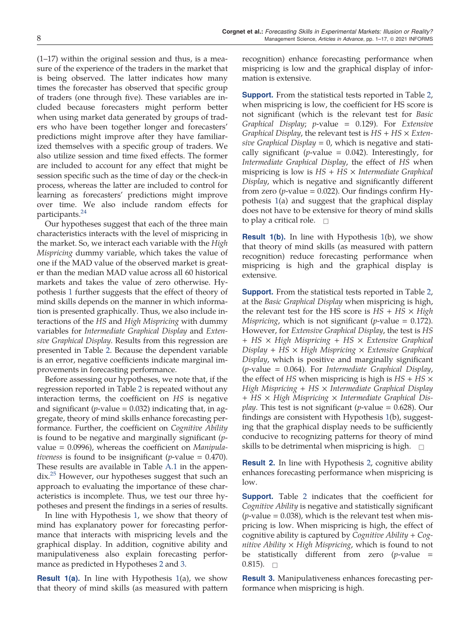<span id="page-7-0"></span>(1–17) within the original session and thus, is a measure of the experience of the traders in the market that is being observed. The latter indicates how many times the forecaster has observed that specific group of traders (one through five). These variables are included because forecasters might perform better when using market data generated by groups of traders who have been together longer and forecasters' predictions might improve after they have familiarized themselves with a specific group of traders. We also utilize session and time fixed effects. The former are included to account for any effect that might be session specific such as the time of day or the check-in process, whereas the latter are included to control for learning as forecasters' predictions might improve over time. We also include random effects for participants.<sup>[24](#page-14-0)</sup>

Our hypotheses suggest that each of the three main characteristics interacts with the level of mispricing in the market. So, we interact each variable with the *High Mispricing* dummy variable, which takes the value of one if the MAD value of the observed market is greater than the median MAD value across all 60 historical markets and takes the value of zero otherwise. Hypothesis [1](#page-2-0) further suggests that the effect of theory of mind skills depends on the manner in which information is presented graphically. Thus, we also include interactions of the *HS* and *High Mispricing* with dummy variables for *Intermediate Graphical Display* and *Extensive Graphical Display*. Results from this regression are presented in Table [2.](#page-8-0) Because the dependent variable is an error, negative coefficients indicate marginal improvements in forecasting performance.

Before assessing our hypotheses, we note that, if the regression reported in Table [2](#page-8-0) is repeated without any interaction terms, the coefficient on *HS* is negative and significant ( $p$ -value  $= 0.032$ ) indicating that, in aggregate, theory of mind skills enhance forecasting performance. Further, the coefficient on *Cognitive Ability* is found to be negative and marginally significant (*p*value = 0.0996), whereas the coefficient on *Manipulativeness* is found to be insignificant ( $p$ -value = 0.470). These results are available in Table [A.1](#page-10-0) in the appen-dix.<sup>[25](#page-14-0)</sup> However, our hypotheses suggest that such an approach to evaluating the importance of these characteristics is incomplete. Thus, we test our three hypotheses and present the findings in a series of results.

In line with Hypothesis [1](#page-2-0), we show that theory of mind has explanatory power for forecasting performance that interacts with mispricing levels and the graphical display. In addition, cognitive ability and manipulativeness also explain forecasting performance as predicted in Hypotheses [2](#page-3-0) and [3.](#page-3-0)

**Result [1\(](#page-2-0)a).** In line with Hypothesis  $1(a)$ , we show that theory of mind skills (as measured with pattern recognition) enhance forecasting performance when mispricing is low and the graphical display of information is extensive.

**Support.** From the statistical tests reported in Table [2](#page-8-0), when mispricing is low, the coefficient for HS score is not significant (which is the relevant test for *Basic Graphical Display*; *p*-value 0.129). For *Extensive Graphical Display*, the relevant test is *HS* + *HS* × *Exten* $sive Graphical Display = 0$ , which is negative and statically significant ( $p$ -value = 0.042). Interestingly, for *Intermediate Graphical Display*, the effect of *HS* when mispricing is low is *HS* + *HS* × *Intermediate Graphical Display*, which is negative and significantly different from zero ( $p$ -value = 0.022). Our findings confirm Hypothesis [1\(](#page-2-0)a) and suggest that the graphical display does not have to be extensive for theory of mind skills to play a critical role.  $\square$ 

**Result [1\(](#page-2-0)b).** In line with Hypothesis  $1(b)$ , we show that theory of mind skills (as measured with pattern recognition) reduce forecasting performance when mispricing is high and the graphical display is extensive.

**Support.** From the statistical tests reported in Table [2](#page-8-0), at the *Basic Graphical Display* when mispricing is high, the relevant test for the HS score is  $HS + HS \times High$ *Mispricing*, which is not significant ( $p$ -value = 0.172). However, for *Extensive Graphical Display*, the test is *HS* + *HS* × *High Mispricing* + *HS* × *Extensive Graphical Display* + *HS* × *High Mispricing* × *Extensive Graphical Display*, which is positive and marginally significant (*p*-value 0.064). For *Intermediate Graphical Display*, the effect of *HS* when mispricing is high is *HS* + *HS* × *High Mispricing* + *HS* × *Intermediate Graphical Display* + *HS* × *High Mispricing* × *Intermediate Graphical Display*. This test is not significant (*p*-value  $= 0.628$ ). Our findings are consistent with Hypothesis [1\(](#page-2-0)b), suggesting that the graphical display needs to be sufficiently conducive to recognizing patterns for theory of mind skills to be detrimental when mispricing is high.  $\square$ 

Result 2. In line with Hypothesis [2](#page-3-0), cognitive ability enhances forecasting performance when mispricing is low.

**Support.** Table [2](#page-8-0) indicates that the coefficient for *Cognitive Ability* is negative and statistically significant  $(p$ -value  $= 0.038$ ), which is the relevant test when mispricing is low. When mispricing is high, the effect of cognitive ability is captured by *Cognitive Ability* + *Cognitive Ability* × *High Mispricing*, which is found to not be statistically different from zero (*p*-value  $0.815$ ).

Result 3. Manipulativeness enhances forecasting performance when mispricing is high.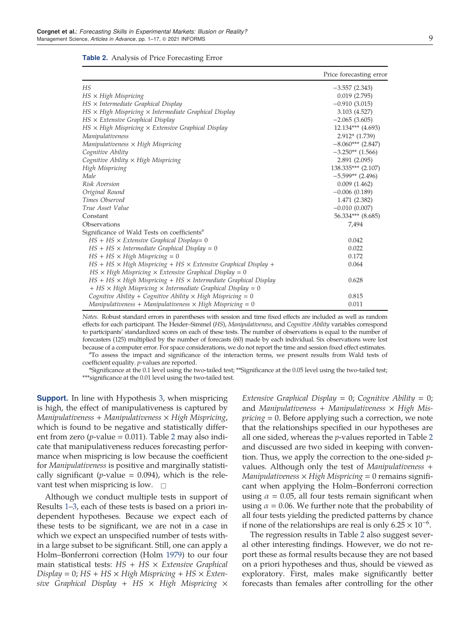<span id="page-8-0"></span>

| <b>Table 2.</b> Analysis of Price Forecasting Error |  |  |  |  |
|-----------------------------------------------------|--|--|--|--|
|-----------------------------------------------------|--|--|--|--|

|                                                                               | Price forecasting error |
|-------------------------------------------------------------------------------|-------------------------|
| HS                                                                            | $-3.557(2.343)$         |
| $HS \times High$ Mispricing                                                   | 0.019(2.795)            |
| $HS \times Intermediate$ Graphical Display                                    | $-0.910(3.015)$         |
| $HS \times High$ Mispricing $\times$ Intermediate Graphical Display           | 3.103 (4.527)           |
| $HS \times$ Extensive Graphical Display                                       | $-2.065(3.605)$         |
| $HS \times High$ Mispricing $\times$ Extensive Graphical Display              | $12.134***$ (4.693)     |
| Manipulativeness                                                              | $2.912*(1.739)$         |
| Manipulativeness × High Mispricing                                            | $-8.060***$ (2.847)     |
| Cognitive Ability                                                             | $-3.250**$ (1.566)      |
| Cognitive Ability $\times$ High Mispricing                                    | 2.891(2.095)            |
| High Mispricing                                                               | 138.335*** (2.107)      |
| Male                                                                          | $-5.599**$ (2.496)      |
| Risk Aversion                                                                 | 0.009(1.462)            |
| Original Round                                                                | $-0.006(0.189)$         |
| Times Observed                                                                | 1.471 (2.382)           |
| True Asset Value                                                              | $-0.010(0.007)$         |
| Constant                                                                      | 56.334*** (8.685)       |
| Observations                                                                  | 7,494                   |
| Significance of Wald Tests on coefficients <sup>a</sup>                       |                         |
| $HS + HS \times Extensive$ Graphical Display= 0                               | 0.042                   |
| $HS + HS \times Intermediate Graphical Display = 0$                           | 0.022                   |
| $HS + HS \times High\,$ Mispricing = 0                                        | 0.172                   |
| $HS + HS \times High$ Mispricing + HS $\times$ Extensive Graphical Display +  | 0.064                   |
| $HS \times High$ Mispricing $\times$ Extensive Graphical Display = 0          |                         |
| $HS + HS \times High$ Mispricing + HS $\times$ Intermediate Graphical Display | 0.628                   |
| $+$ HS $\times$ High Mispricing $\times$ Intermediate Graphical Display = 0   |                         |
| Cognitive Ability + Cognitive Ability $\times$ High Mispricing = 0            | 0.815                   |
| Manipulativeness + Manipulativeness $\times$ High Mispricing = 0              | 0.011                   |

*Notes*. Robust standard errors in parentheses with session and time fixed effects are included as well as random effects for each participant. The Heider–Simmel (*HS*), *Manipulativeness*, and *Cognitive Ability* variables correspond to participants' standardized scores on each of these tests. The number of observations is equal to the number of forecasters (125) multiplied by the number of forecasts (60) made by each individual. Six observations were lost because of a computer error. For space considerations, we do not report the time and session fixed effect estimates.

<sup>a</sup>To assess the impact and significance of the interaction terms, we present results from Wald tests of coefficient equality. *p*-values are reported.

\*Significance at the 0.1 level using the two-tailed test; \*\*Significance at the 0.05 level using the two-tailed test; \*\*\*significance at the 0.01 level using the two-tailed test.

**Support.** In line with Hypothesis [3,](#page-3-0) when mispricing is high, the effect of manipulativeness is captured by *Manipulativeness* + *Manipulativeness* × *High Mispricing*, which is found to be negative and statistically different from zero ( $p$ -value = 0.011). Table 2 may also indicate that manipulativeness reduces forecasting performance when mispricing is low because the coefficient for *Manipulativeness* is positive and marginally statistically significant (*p*-value  $= 0.094$ ), which is the relevant test when mispricing is low.  $\Box$ 

Although we conduct multiple tests in support of Results [1](#page-7-0)–[3](#page-7-0), each of these tests is based on a priori independent hypotheses. Because we expect each of these tests to be significant, we are not in a case in which we expect an unspecified number of tests within a large subset to be significant. Still, one can apply a Holm–Bonferroni correction (Holm [1979](#page-15-0)) to our four main statistical tests: *HS* + *HS* × *Extensive Graphical*  $Display = 0; HS + HS \times High\,$  *Mispricing* +  $HS \times Exten$ *sive Graphical Display* + *HS* × *High Mispricing* × *Extensive Graphical Display* = 0; *Cognitive Ability* = 0; and *Manipulativeness* + *Manipulativeness* × *High Mispricing* = 0. Before applying such a correction, we note that the relationships specified in our hypotheses are all one sided, whereas the *p*-values reported in Table 2 and discussed are two sided in keeping with convention. Thus, we apply the correction to the one-sided *p*values. Although only the test of *Manipulativeness* + *Manipulativeness* × *High Mispricing* 0 remains significant when applying the Holm–Bonferroni correction using  $\alpha = 0.05$ , all four tests remain significant when using  $\alpha = 0.06$ . We further note that the probability of all four tests yielding the predicted patterns by chance if none of the relationships are real is only  $6.25 \times 10^{-6}$ .

The regression results in Table 2 also suggest several other interesting findings. However, we do not report these as formal results because they are not based on a priori hypotheses and thus, should be viewed as exploratory. First, males make significantly better forecasts than females after controlling for the other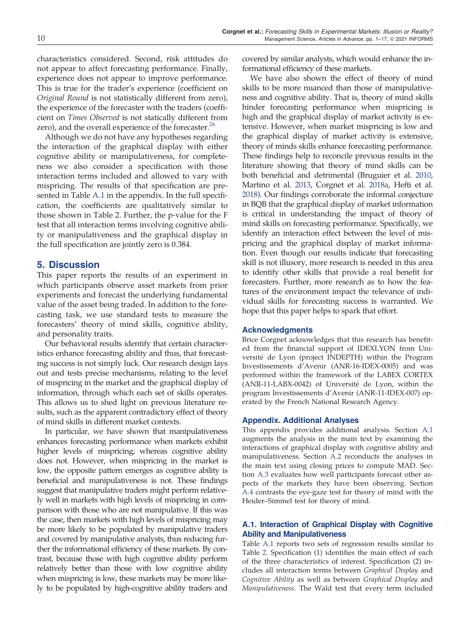characteristics considered. Second, risk attitudes do not appear to affect forecasting performance. Finally, experience does not appear to improve performance. This is true for the trader's experience (coefficient on *Original Round* is not statistically different from zero), the experience of the forecaster with the traders (coefficient on *Times Observed* is not statically different from zero), and the overall experience of the forecaster.<sup>[26](#page-14-0)</sup>

Although we do not have any hypotheses regarding the interaction of the graphical display with either cognitive ability or manipulativeness, for completeness we also consider a specification with those interaction terms included and allowed to vary with mispricing. The results of that specification are presented in Table [A.1](#page-10-0) in the appendix. In the full specification, the coefficients are qualitatively similar to those shown in Table 2. Further, the p-value for the F test that all interaction terms involving cognitive ability or manipulativeness and the graphical display in the full specification are jointly zero is 0.384.

# 5. Discussion

This paper reports the results of an experiment in which participants observe asset markets from prior experiments and forecast the underlying fundamental value of the asset being traded. In addition to the forecasting task, we use standard tests to measure the forecasters' theory of mind skills, cognitive ability, and personality traits.

Our behavioral results identify that certain characteristics enhance forecasting ability and thus, that forecasting success is not simply luck. Our research design lays out and tests precise mechanisms, relating to the level of mispricing in the market and the graphical display of information, through which each set of skills operates. This allows us to shed light on previous literature results, such as the apparent contradictory effect of theory of mind skills in different market contexts.

In particular, we have shown that manipulativeness enhances forecasting performance when markets exhibit higher levels of mispricing, whereas cognitive ability does not. However, when mispricing in the market is low, the opposite pattern emerges as cognitive ability is beneficial and manipulativeness is not. These findings suggest that manipulative traders might perform relatively well in markets with high levels of mispricing in comparison with those who are not manipulative. If this was the case, then markets with high levels of mispricing may be more likely to be populated by manipulative traders and covered by manipulative analysts, thus reducing further the informational efficiency of these markets. By contrast, because those with high cognitive ability perform relatively better than those with low cognitive ability when mispricing is low, these markets may be more likely to be populated by high-cognitive ability traders and covered by similar analysts, which would enhance the informational efficiency of these markets.

We have also shown the effect of theory of mind skills to be more nuanced than those of manipulativeness and cognitive ability. That is, theory of mind skills hinder forecasting performance when mispricing is high and the graphical display of market activity is extensive. However, when market mispricing is low and the graphical display of market activity is extensive, theory of minds skills enhance forecasting performance. These findings help to reconcile previous results in the literature showing that theory of mind skills can be both beneficial and detrimental (Bruguier et al. [2010](#page-14-0), Martino et al. 2013, Corgnet et al. [2018a](#page-14-0), Hefti et al. [2018\)](#page-15-0). Our findings corroborate the informal conjecture in BQB that the graphical display of market information is critical in understanding the impact of theory of mind skills on forecasting performance. Specifically, we identify an interaction effect between the level of mispricing and the graphical display of market information. Even though our results indicate that forecasting skill is not illusory, more research is needed in this area to identify other skills that provide a real benefit for forecasters. Further, more research as to how the features of the environment impact the relevance of individual skills for forecasting success is warranted. We hope that this paper helps to spark that effort.

#### Acknowledgments

Brice Corgnet acknowledges that this research has benefited from the financial support of IDEXLYON from Université de Lyon (project INDEPTH) within the Program Investissements d'Avenir (ANR-16-IDEX-0005) and was performed within the framework of the LABEX CORTEX (ANR-11-LABX-0042) of Université de Lyon, within the program Investissements d'Avenir (ANR-11-IDEX-007) operated by the French National Research Agency.

#### Appendix. Additional Analyses

This appendix provides additional analysis. Section A.1 augments the analysis in the main text by examining the interactions of graphical display with cognitive ability and manipulativeness. Section [A.2](#page-10-0) reconducts the analyses in the main text using closing prices to compute MAD. Section [A.3](#page-10-0) evaluates how well participants forecast other aspects of the markets they have been observing. Section [A.4](#page-12-0) contrasts the eye-gaze test for theory of mind with the Heider–Simmel test for theory of mind.

## A.1. Interaction of Graphical Display with Cognitive Ability and Manipulativeness

Table [A.1](#page-10-0) reports two sets of regression results similar to Table [2](#page-8-0). Specification (1) identifies the main effect of each of the three characteristics of interest. Specification (2) includes all interaction terms between *Graphical Display* and *Cognitive Ability* as well as between *Graphical Display* and *Manipulativeness*. The Wald test that every term included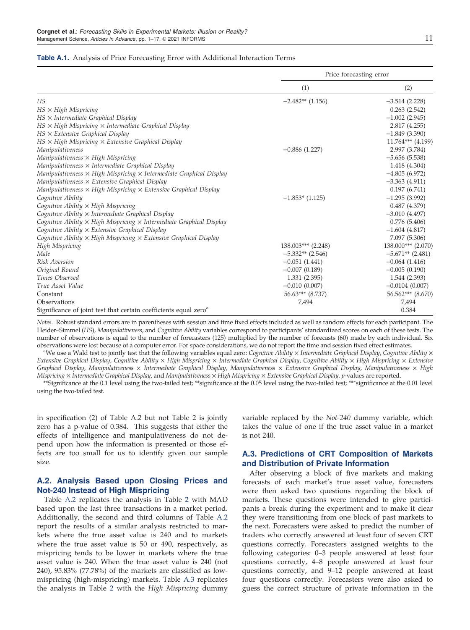#### <span id="page-10-0"></span>Table A.1. Analysis of Price Forecasting Error with Additional Interaction Terms

|                                                                                    | Price forecasting error |                       |  |
|------------------------------------------------------------------------------------|-------------------------|-----------------------|--|
|                                                                                    | (1)                     | (2)                   |  |
| HS                                                                                 | $-2.482**$ (1.156)      | $-3.514(2.228)$       |  |
| $HS \times High\,$ Mispricing                                                      |                         | 0.263(2.542)          |  |
| $HS \times Intermediate$ Graphical Display                                         |                         | $-1.002(2.945)$       |  |
| $HS \times High$ Mispricing $\times$ Intermediate Graphical Display                |                         | 2.817 (4.255)         |  |
| $HS \times$ Extensive Graphical Display                                            |                         | $-1.849(3.390)$       |  |
| $HS \times High$ Mispricing $\times$ Extensive Graphical Display                   |                         | $11.764***$ (4.199)   |  |
| Manipulativeness                                                                   | $-0.886(1.227)$         | 2.997 (3.784)         |  |
| Manipulativeness × High Mispricing                                                 |                         | $-5.656(5.538)$       |  |
| Manipulativeness $\times$ Intermediate Graphical Display                           |                         | 1.418 (4.304)         |  |
| Manipulativeness $\times$ High Mispricing $\times$ Intermediate Graphical Display  |                         | $-4.805(6.972)$       |  |
| Manipulativeness $\times$ Extensive Graphical Display                              |                         | $-3.363(4.911)$       |  |
| Manipulativeness $\times$ High Mispricing $\times$ Extensive Graphical Display     |                         | 0.197(6.741)          |  |
| Cognitive Ability                                                                  | $-1.853$ * (1.125)      | $-1.295(3.992)$       |  |
| Cognitive Ability × High Mispricing                                                |                         | 0.487(4.379)          |  |
| Cognitive Ability $\times$ Intermediate Graphical Display                          |                         | $-3.010(4.497)$       |  |
| Cognitive Ability $\times$ High Mispricing $\times$ Intermediate Graphical Display |                         | 0.776(5.406)          |  |
| Cognitive Ability $\times$ Extensive Graphical Display                             |                         | $-1.604(4.817)$       |  |
| Cognitive Ability $\times$ High Mispricing $\times$ Extensive Graphical Display    |                         | 7.097 (5.306)         |  |
| High Mispricing                                                                    | $138.003***$ (2.248)    | 138.000*** (2.070)    |  |
| Male                                                                               | $-5.332**$ (2.546)      | $-5.671**$ (2.481)    |  |
| Risk Aversion                                                                      | $-0.051(1.441)$         | $-0.064(1.416)$       |  |
| Original Round                                                                     | $-0.007(0.189)$         | $-0.005(0.190)$       |  |
| Times Observed                                                                     | 1.331 (2.395)           | 1.544 (2.393)         |  |
| True Asset Value                                                                   | $-0.010(0.007)$         | $-0.0104(0.007)$      |  |
| Constant                                                                           | $56.63***$ $(8.737)$    | $56.562***$ $(8.670)$ |  |
| Observations                                                                       | 7,494                   | 7,494                 |  |
| Significance of joint test that certain coefficients equal zero <sup>a</sup>       |                         | 0.384                 |  |

*Notes*. Robust standard errors are in parentheses with session and time fixed effects included as well as random effects for each participant. The Heider–Simmel (*HS*), *Manipulativeness*, and *Cognitive Ability* variables correspond to participants' standardized scores on each of these tests. The number of observations is equal to the number of forecasters (125) multiplied by the number of forecasts (60) made by each individual. Six observations were lost because of a computer error. For space considerations, we do not report the time and session fixed effect estimates.

<sup>a</sup>We use a Wald test to jointly test that the following variables equal zero: *Cognitive Ability* × *Intermediate Graphical Display*, *Cognitive Ability* × *Extensive Graphical Display*, *Cognitive Ability* × *High Mispricing* × *Intermediate Graphical Display*, *Cognitive Ability* × *High Mispricing* × *Extensive Graphical Display*, *Manipulativeness* × *Intermediate Graphical Display*, *Manipulativeness* × *Extensive Graphical Display*, *Manipulativeness* × *High Mispricing* × *Intermediate Graphical Display*, and *Manipulativeness* × *High Mispricing* × *Extensive Graphical Display*. *p*-values are reported.

\*\*Significance at the 0.1 level using the two-tailed test; \*\*significance at the 0.05 level using the two-tailed test; \*\*\*significance at the 0.01 level using the two-tailed test.

in specification (2) of Table A.2 but not Table 2 is jointly zero has a p-value of 0.384. This suggests that either the effects of intelligence and manipulativeness do not depend upon how the information is presented or those effects are too small for us to identify given our sample size.

## A.2. Analysis Based upon Closing Prices and Not-240 Instead of High Mispricing

Table [A.2](#page-11-0) replicates the analysis in Table [2](#page-8-0) with MAD based upon the last three transactions in a market period. Additionally, the second and third columns of Table [A.2](#page-11-0) report the results of a similar analysis restricted to markets where the true asset value is 240 and to markets where the true asset value is 50 or 490, respectively, as mispricing tends to be lower in markets where the true asset value is 240. When the true asset value is 240 (not 240), 95.83% (77.78%) of the markets are classified as lowmispricing (high-mispricing) markets. Table [A.3](#page-12-0) replicates the analysis in Table [2](#page-8-0) with the *High Mispricing* dummy variable replaced by the *Not-240* dummy variable, which takes the value of one if the true asset value in a market is not 240.

## A.3. Predictions of CRT Composition of Markets and Distribution of Private Information

After observing a block of five markets and making forecasts of each market's true asset value, forecasters were then asked two questions regarding the block of markets. These questions were intended to give participants a break during the experiment and to make it clear they were transitioning from one block of past markets to the next. Forecasters were asked to predict the number of traders who correctly answered at least four of seven CRT questions correctly. Forecasters assigned weights to the following categories: 0–3 people answered at least four questions correctly, 4–8 people answered at least four questions correctly, and 9–12 people answered at least four questions correctly. Forecasters were also asked to guess the correct structure of private information in the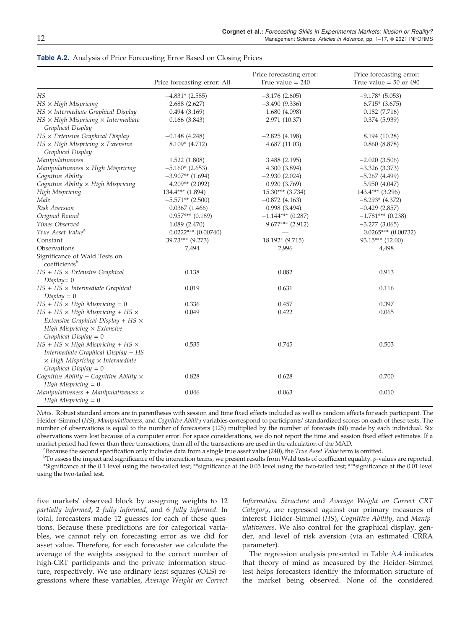|                                                                                                                                                                      | Price forecasting error: All | Price forecasting error:<br>True value $= 240$ | Price forecasting error:<br>True value = $50$ or $490$ |
|----------------------------------------------------------------------------------------------------------------------------------------------------------------------|------------------------------|------------------------------------------------|--------------------------------------------------------|
| HS                                                                                                                                                                   | $-4.831*$ (2.585)            | $-3.176(2.605)$                                | $-9.178*(5.053)$                                       |
| $HS \times High\,$ Mispricing                                                                                                                                        | 2.688(2.627)                 | $-3.490(9.336)$                                | $6.715*(3.675)$                                        |
| $HS \times Intermediate$ Graphical Display                                                                                                                           | 0.494(3.169)                 | 1.680 (4.098)                                  | 0.182(7.716)                                           |
| $HS \times High$ Mispricing $\times$ Intermediate<br>Graphical Display                                                                                               | 0.166(3.843)                 | 2.971 (10.37)                                  | 0.374(5.939)                                           |
| $HS \times$ Extensive Graphical Display                                                                                                                              | $-0.148(4.248)$              | $-2.825(4.198)$                                | 8.194 (10.28)                                          |
| $HS \times High$ Mispricing $\times$ Extensive<br>Graphical Display                                                                                                  | $8.109*$ (4.712)             | 4.687(11.03)                                   | 0.860(8.878)                                           |
| Manipulativeness                                                                                                                                                     | 1.522 (1.808)                | 3.488 (2.195)                                  | $-2.020(3.506)$                                        |
| Manipulativeness $\times$ High Mispricing                                                                                                                            | $-5.160*(2.653)$             | 4.300 (3.894)                                  | $-3.326(3.373)$                                        |
| Cognitive Ability                                                                                                                                                    | $-3.907**$ (1.694)           | $-2.930(2.024)$                                | $-5.267(4.499)$                                        |
| Cognitive Ability × High Mispricing                                                                                                                                  | $4.209**$ (2.092)            | 0.920(3.769)                                   | 5.950 (4.047)                                          |
| High Mispricing                                                                                                                                                      | $134.4***$ $(1.894)$         | $15.30***$ (3.734)                             | $143.4***$ (3.296)                                     |
| Male                                                                                                                                                                 | $-5.571**$ (2.500)           | $-0.872(4.163)$                                | $-8.293*$ (4.372)                                      |
| Risk Aversion                                                                                                                                                        | 0.0367(1.466)                | 0.998(3.494)                                   | $-0.429(2.857)$                                        |
| Original Round                                                                                                                                                       | $0.957***$ (0.189)           | $-1.144***$ (0.287)                            | $-1.781***$ (0.238)                                    |
| Times Observed                                                                                                                                                       | 1.089(2.470)                 | $9.677***$ (2.912)                             | $-3.277(3.065)$                                        |
| True Asset Value <sup>a</sup>                                                                                                                                        | $0.0222***$ $(0.00740)$      |                                                | $0.0265***$ (0.00732)                                  |
| Constant                                                                                                                                                             | 39.73*** (9.273)             | 18.192* (9.715)                                | 93.15*** (12.00)                                       |
| Observations                                                                                                                                                         | 7,494                        | 2,996                                          | 4,498                                                  |
| Significance of Wald Tests on<br>coefficientsb                                                                                                                       |                              |                                                |                                                        |
| $HS + HS \times Extensive$ Graphical<br>$Display = 0$                                                                                                                | 0.138                        | 0.082                                          | 0.913                                                  |
| $HS + HS \times Intermediate Graphical$<br>$Display = 0$                                                                                                             | 0.019                        | 0.631                                          | 0.116                                                  |
| $HS + HS \times High\,$ Mispricing = 0                                                                                                                               | 0.336                        | 0.457                                          | 0.397                                                  |
| $HS + HS \times High\, Mis pricing + HS \times$<br>Extensive Graphical Display + $HS \times$<br>High Mispricing $\times$ Extensive<br>Graphical Display = $0$        | 0.049                        | 0.422                                          | 0.065                                                  |
| $HS + HS \times High\,$ Mispricing + HS $\times$<br>Intermediate Graphical Display + HS<br>$\times$ High Mispricing $\times$ Intermediate<br>Graphical Display = $0$ | 0.535                        | 0.745                                          | 0.503                                                  |
| Cognitive Ability + Cognitive Ability $\times$<br>High Mispricing $= 0$                                                                                              | 0.828                        | 0.628                                          | 0.700                                                  |
| Manipulativeness + Manipulativeness $\times$<br>High Mispricing $= 0$                                                                                                | 0.046                        | 0.063                                          | 0.010                                                  |

#### <span id="page-11-0"></span>Table A.2. Analysis of Price Forecasting Error Based on Closing Prices

*Notes*. Robust standard errors are in parentheses with session and time fixed effects included as well as random effects for each participant. The Heider–Simmel (*HS*), *Manipulativeness*, and *Cognitive Ability* variables correspond to participants' standardized scores on each of these tests. The number of observations is equal to the number of forecasters (125) multiplied by the number of forecasts (60) made by each individual. Six observations were lost because of a computer error. For space considerations, we do not report the time and session fixed effect estimates. If a market period had fewer than three transactions, then all of the transactions are used in the calculation of the MAD.

a Because the second specification only includes data from a single true asset value (240), the *True Asset Value* term is omitted.

b To assess the impact and significance of the interaction terms, we present results from Wald tests of coefficient equality. *p*-values are reported. \*Significance at the 0.1 level using the two-tailed test; \*\*significance at the 0.05 level using the two-tailed test; \*\*\*significance at the 0.01 level using the two-tailed test.

five markets' observed block by assigning weights to 12 *partially informed*, 2 *fully informed*, and 6 *fully informed*. In total, forecasters made 12 guesses for each of these questions. Because these predictions are for categorical variables, we cannot rely on forecasting error as we did for asset value. Therefore, for each forecaster we calculate the average of the weights assigned to the correct number of high-CRT participants and the private information structure, respectively. We use ordinary least squares (OLS) regressions where these variables, *Average Weight on Correct*

*Information Structure* and *Average Weight on Correct CRT Category*, are regressed against our primary measures of interest: Heider–Simmel (*HS*), *Cognitive Ability*, and *Manipulativeness*. We also control for the graphical display, gender, and level of risk aversion (via an estimated CRRA parameter).

The regression analysis presented in Table [A.4](#page-12-0) indicates that theory of mind as measured by the Heider–Simmel test helps forecasters identify the information structure of the market being observed. None of the considered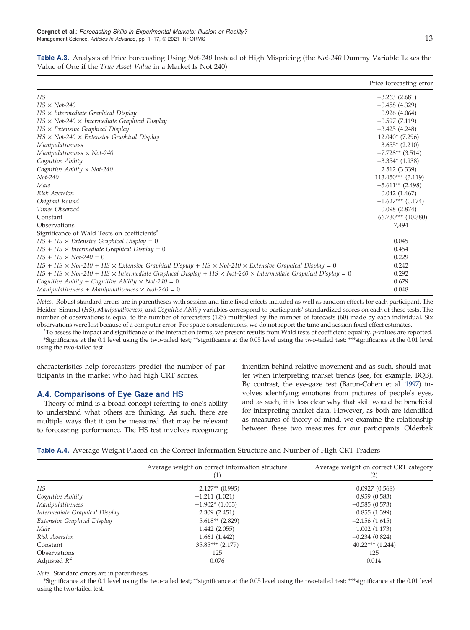| л.  | v<br>٠  |
|-----|---------|
|     | I<br>I  |
| --- | ۰.<br>v |

|                                                                                                                                   | Price forecasting error |
|-----------------------------------------------------------------------------------------------------------------------------------|-------------------------|
| HS                                                                                                                                | $-3.263(2.681)$         |
| $HS \times Not-240$                                                                                                               | $-0.458(4.329)$         |
| $HS \times$ Intermediate Graphical Display                                                                                        | 0.926(4.064)            |
| $HS \times Not-240 \times Intermediate Graphical Display$                                                                         | $-0.597(7.119)$         |
| $HS \times$ Extensive Graphical Display                                                                                           | $-3.425(4.248)$         |
| $HS \times Not-240 \times Extensive$ Graphical Display                                                                            | $12.040*(7.296)$        |
| Manipulativeness                                                                                                                  | $3.655*$ (2.210)        |
| Manipulativeness $\times$ Not-240                                                                                                 | $-7.728**$ (3.514)      |
| Cognitive Ability                                                                                                                 | $-3.354*(1.938)$        |
| Cognitive Ability $\times$ Not-240                                                                                                | 2.512 (3.339)           |
| $Not-240$                                                                                                                         | $113.450***$ (3.119)    |
| Male                                                                                                                              | $-5.611**$ (2.498)      |
| Risk Aversion                                                                                                                     | 0.042(1.467)            |
| Original Round                                                                                                                    | $-1.627***$ (0.174)     |
| Times Observed                                                                                                                    | 0.098(2.874)            |
| Constant                                                                                                                          | $66.730***$ $(10.380)$  |
| Observations                                                                                                                      | 7,494                   |
| Significance of Wald Tests on coefficients <sup>a</sup>                                                                           |                         |
| $HS + HS \times Extensive$ Graphical Display = 0                                                                                  | 0.045                   |
| $HS + HS \times Intermediate Graphical Display = 0$                                                                               | 0.454                   |
| $HS + HS \times Not-240 = 0$                                                                                                      | 0.229                   |
| $HS + HS \times Not-240 + HS \times Extensive Graphical Display + HS \times Not-240 \times Extensive Graphical Display = 0$       | 0.242                   |
| $HS + HS \times Not-240 + HS \times Intermediate Graphical Display + HS \times Not-240 \times Intermediate Graphical Display = 0$ | 0.292                   |
| Cognitive Ability + Cognitive Ability $\times$ Not-240 = 0                                                                        | 0.679                   |
| Manipulativeness + Manipulativeness $\times$ Not-240 = 0                                                                          | 0.048                   |

<span id="page-12-0"></span>Table A.3. Analysis of Price Forecasting Using *Not-240* Instead of High Mispricing (the *Not-240* Dummy Variable Takes the Value of One if the *True Asset Value* in a Market Is Not 240)

*Notes*. Robust standard errors are in parentheses with session and time fixed effects included as well as random effects for each participant. The Heider–Simmel (*HS*), *Manipulativeness*, and *Cognitive Ability* variables correspond to participants' standardized scores on each of these tests. The number of observations is equal to the number of forecasters (125) multiplied by the number of forecasts (60) made by each individual. Six observations were lost because of a computer error. For space considerations, we do not report the time and session fixed effect estimates.

a To assess the impact and significance of the interaction terms, we present results from Wald tests of coefficient equality. *p*-values are reported. \*Significance at the 0.1 level using the two-tailed test; \*\*significance at the 0.05 level using the two-tailed test; \*\*\*significance at the 0.01 level using the two-tailed test.

characteristics help forecasters predict the number of participants in the market who had high CRT scores.

## A.4. Comparisons of Eye Gaze and HS

Theory of mind is a broad concept referring to one's ability to understand what others are thinking. As such, there are multiple ways that it can be measured that may be relevant to forecasting performance. The HS test involves recognizing

intention behind relative movement and as such, should matter when interpreting market trends (see, for example, BQB). By contrast, the eye-gaze test (Baron-Cohen et al. [1997](#page-14-0)) involves identifying emotions from pictures of people's eyes, and as such, it is less clear why that skill would be beneficial for interpreting market data. However, as both are identified as measures of theory of mind, we examine the relationship between these two measures for our participants. Olderbak

|  | Table A.4. Average Weight Placed on the Correct Information Structure and Number of High-CRT Traders |  |  |  |  |  |
|--|------------------------------------------------------------------------------------------------------|--|--|--|--|--|
|  |                                                                                                      |  |  |  |  |  |

|                                | Average weight on correct information structure<br>(1) | Average weight on correct CRT category<br>(2) |
|--------------------------------|--------------------------------------------------------|-----------------------------------------------|
| HS                             | $2.127**$ (0.995)                                      | 0.0927(0.568)                                 |
| Cognitive Ability              | $-1.211(1.021)$                                        | 0.959(0.583)                                  |
| Manipulativeness               | $-1.902*(1.003)$                                       | $-0.585(0.573)$                               |
| Intermediate Graphical Display | 2.309(2.451)                                           | 0.855(1.399)                                  |
| Extensive Graphical Display    | $5.618**$ (2.829)                                      | $-2.156(1.615)$                               |
| Male                           | 1.442(2.055)                                           | 1.002(1.173)                                  |
| Risk Aversion                  | 1.661(1.442)                                           | $-0.234(0.824)$                               |
| Constant                       | $35.85***$ (2.179)                                     | $40.22***$ $(1.244)$                          |
| Observations                   | 125                                                    | 125                                           |
| Adjusted $R^2$                 | 0.076                                                  | 0.014                                         |

*Note*. Standard errors are in parentheses.

\*Significance at the 0.1 level using the two-tailed test; \*\*significance at the 0.05 level using the two-tailed test; \*\*\*significance at the 0.01 level using the two-tailed test.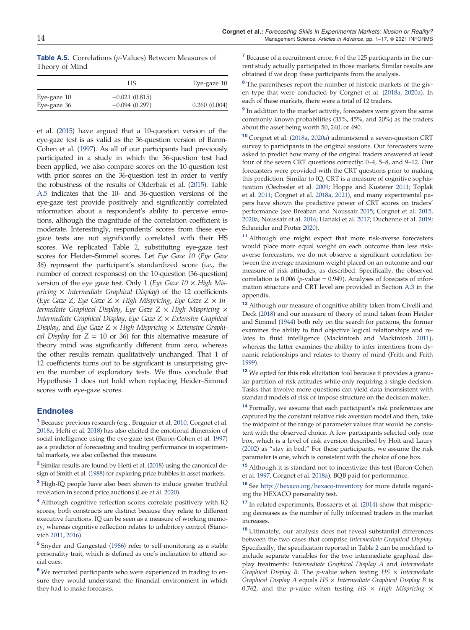<span id="page-13-0"></span>Table A.5. Correlations (*p*-Values) Between Measures of Theory of Mind

|             | HS.             | Eye-gaze 10  |
|-------------|-----------------|--------------|
| Eye-gaze 10 | $-0.021(0.815)$ |              |
| Eye-gaze 36 | $-0.094(0.297)$ | 0.260(0.004) |

et al. [\(2015](#page-15-0)) have argued that a 10-question version of the eye-gaze test is as valid as the 36-question version of Baron-Cohen et al. [\(1997\)](#page-14-0). As all of our participants had previously participated in a study in which the 36-question test had been applied, we also compare scores on the 10-question test with prior scores on the 36-question test in order to verify the robustness of the results of Olderbak et al. [\(2015](#page-15-0)). Table A.5 indicates that the 10- and 36-question versions of the eye-gaze test provide positively and significantly correlated information about a respondent's ability to perceive emotions, although the magnitude of the correlation coefficient is moderate. Interestingly, respondents' scores from these eyegaze tests are not significantly correlated with their HS scores. We replicated Table [2](#page-8-0), substituting eye-gaze test scores for Heider–Simmel scores. Let *Eye Gaze 10* (*Eye Gaze 36*) represent the participant's standardized score (i.e., the number of correct responses) on the 10-question (36-question) version of the eye gaze test. Only 1 (*Eye Gaze 10* × *High Mispricing* × *Intermediate Graphical Display*) of the 12 coefficients (*Eye Gaze Z*, *Eye Gaze Z* × *High Mispricing*, *Eye Gaze Z* × *Intermediate Graphical Display*, *Eye Gaze Z* × *High Mispricing* × *Intermediate Graphical Display*, *Eye Gaze Z* × *Extensive Graphical Display*, and *Eye Gaze Z* × *High Mispricing* × *Extensive Graphical Display* for  $Z = 10$  or 36) for this alternative measure of theory mind was significantly different from zero, whereas the other results remain qualitatively unchanged. That 1 of 12 coefficients turns out to be significant is unsurprising given the number of exploratory tests. We thus conclude that Hypothesis [1](#page-2-0) does not hold when replacing Heider–Simmel scores with eye-gaze scores.

#### **Endnotes**

1 Because previous research (e.g., Bruguier et al. [2010](#page-14-0), Corgnet et al. [2018a,](#page-14-0) Hefti et al. [2018\)](#page-15-0) has also elicited the emotional dimension of social intelligence using the eye-gaze test (Baron-Cohen et al. [1997\)](#page-14-0) as a predictor of forecasting and trading performance in experimental markets, we also collected this measure.

<sup>2</sup> Similar results are found by Hefti et al. [\(2018](#page-15-0)) using the canonical design of Smith et al. [\(1988\)](#page-16-0) for exploring price bubbles in asset markets.

<sup>3</sup> High-IQ people have also been shown to induce greater truthful revelation in second price auctions (Lee et al. [2020](#page-15-0)).

<sup>4</sup> Although cognitive reflection scores correlate positively with IQ scores, both constructs are distinct because they relate to different executive functions. IQ can be seen as a measure of working memory, whereas cognitive reflection relates to inhibitory control (Stanovich [2011,](#page-16-0) [2016](#page-16-0)).

5 Snyder and Gangestad [\(1986](#page-16-0)) refer to self-monitoring as a stable personality trait, which is defined as one's inclination to attend social cues.

<sup>6</sup> We recruited participants who were experienced in trading to ensure they would understand the financial environment in which they had to make forecasts.

<sup>7</sup> Because of a recruitment error, 6 of the 125 participants in the current study actually participated in those markets. Similar results are obtained if we drop these participants from the analysis.

<sup>8</sup> The parentheses report the number of historic markets of the given type that were conducted by Corgnet et al. ([2018a](#page-14-0), [2020a\)](#page-14-0). In each of these markets, there were a total of 12 traders.

<sup>9</sup> In addition to the market activity, forecasters were given the same commonly known probabilities (35%, 45%, and 20%) as the traders about the asset being worth 50, 240, or 490.

<sup>10</sup> Corgnet et al. [\(2018a](#page-14-0), [2020a](#page-14-0)) administered a seven-question CRT survey to participants in the original sessions. Our forecasters were asked to predict how many of the original traders answered at least four of the seven CRT questions correctly: 0–4, 5–8, and 9–12. Our forecasters were provided with the CRT questions prior to making this prediction. Similar to IQ, CRT is a measure of cognitive sophistication (Oechssler et al. [2009;](#page-15-0) Hoppe and Kusterer [2011;](#page-15-0) Toplak et al. [2011](#page-16-0); Corgnet et al. [2018a,](#page-14-0) 2021), and many experimental papers have shown the predictive power of CRT scores on traders' performance (see Breaban and Noussair [2015](#page-14-0); Corgnet et al. [2015,](#page-14-0) [2020a](#page-14-0); Noussair et al. [2016;](#page-15-0) Hanaki et al. [2017](#page-15-0); Duchenne et al. [2019;](#page-15-0) Schneider and Porter [2020\)](#page-16-0).

<sup>11</sup> Although one might expect that more risk-averse forecasters would place more equal weight on each outcome than less riskaverse forecasters, we do not observe a significant correlation between the average maximum weight placed on an outcome and our measure of risk attitudes, as described. Specifically, the observed correlation is  $0.006$  ( $p$ -value =  $0.949$ ). Analyses of forecasts of information structure and CRT level are provided in Section [A.3](#page-10-0) in the appendix.

<sup>12</sup> Although our measure of cognitive ability taken from Civelli and Deck [\(2018](#page-14-0)) and our measure of theory of mind taken from Heider and Simmel [\(1944](#page-15-0)) both rely on the search for patterns, the former examines the ability to find objective logical relationships and relates to fluid intelligence (Mackintosh and Mackintosh [2011](#page-15-0)), whereas the latter examines the ability to infer intentions from dynamic relationships and relates to theory of mind (Frith and Frith [1999](#page-15-0)).

<sup>13</sup> We opted for this risk elicitation tool because it provides a granular partition of risk attitudes while only requiring a single decision. Tasks that involve more questions can yield data inconsistent with standard models of risk or impose structure on the decision maker.

<sup>14</sup> Formally, we assume that each participant's risk preferences are captured by the constant relative risk aversion model and then, take the midpoint of the range of parameter values that would be consistent with the observed choice. A few participants selected only one box, which is a level of risk aversion described by Holt and Laury [\(2002\)](#page-15-0) as "stay in bed." For these participants, we assume the risk parameter is one, which is consistent with the choice of one box.

<sup>15</sup> Although it is standard not to incentivize this test (Baron-Cohen et al. [1997,](#page-14-0) Corgnet et al. [2018a](#page-14-0)), BQB paid for performance.

<sup>16</sup> See <http://hexaco.org/hexaco-inventory> for more details regarding the HEXACO personality test.

<sup>17</sup> In related experiments, Bossaerts et al. ([2014](#page-14-0)) show that mispricing decreases as the number of fully informed traders in the market increases.

<sup>18</sup> Ultimately, our analysis does not reveal substantial differences between the two cases that comprise *Intermediate Graphical Display*. Specifically, the specification reported in Table [2](#page-8-0) can be modified to include separate variables for the two intermediate graphical display treatments: *Intermediate Graphical Display A* and *Intermediate Graphical Display B*. The *p*-value when testing *HS* × *Intermediate Graphical Display A* equals *HS* × *Intermediate Graphical Display B* is 0.762, and the *p*-value when testing *HS* × *High Mispricing* ×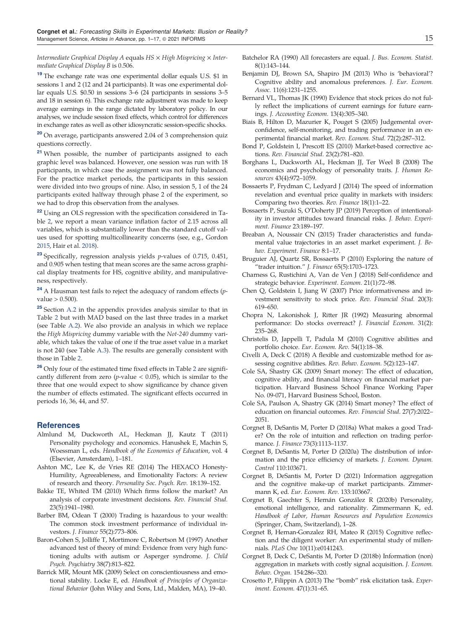<span id="page-14-0"></span>*Intermediate Graphical Display A* equals *HS* × *High Mispricing* × *Intermediate Graphical Display B* is 0.506.

<sup>19</sup> The exchange rate was one experimental dollar equals U.S. \$1 in sessions 1 and 2 (12 and 24 participants). It was one experimental dollar equals U.S. \$0.50 in sessions 3–6 (24 participants in sessions 3–5 and 18 in session 6). This exchange rate adjustment was made to keep average earnings in the range dictated by laboratory policy. In our analyses, we include session fixed effects, which control for differences in exchange rates as well as other idiosyncratic session-specific shocks.

<sup>20</sup> On average, participants answered 2.04 of 3 comprehension quiz questions correctly.

<sup>21</sup> When possible, the number of participants assigned to each graphic level was balanced. However, one session was run with 18 participants, in which case the assignment was not fully balanced. For the practice market periods, the participants in this session were divided into two groups of nine. Also, in session 5, 1 of the 24 participants exited halfway through phase 2 of the experiment, so we had to drop this observation from the analyses.

<sup>22</sup> Using an OLS regression with the specification considered in Table [2](#page-8-0), we report a mean variance inflation factor of 2.15 across all variables, which is substantially lower than the standard cutoff values used for spotting multicollinearity concerns (see, e.g., Gordon [2015,](#page-15-0) Hair et al. [2018\)](#page-15-0).

<sup>23</sup> Specifically, regression analysis yields *p*-values of 0.715, 0.451, and 0.905 when testing that mean scores are the same across graphical display treatments for HS, cognitive ability, and manipulativeness, respectively.

<sup>24</sup> A Hausman test fails to reject the adequacy of random effects (*p*value > 0.500).

<sup>25</sup> Section [A.2](#page-10-0) in the appendix provides analysis similar to that in Table [2](#page-8-0) but with MAD based on the last three trades in a market (see Table [A.2](#page-11-0)). We also provide an analysis in which we replace the *High Mispricing* dummy variable with the *Not-240* dummy variable, which takes the value of one if the true asset value in a market is not 240 (see Table [A.3\)](#page-12-0). The results are generally consistent with those in Table [2.](#page-8-0)

<sup>[2](#page-8-0)6</sup> Only four of the estimated time fixed effects in Table 2 are significantly different from zero ( $p$ -value  $<$  0.05), which is similar to the three that one would expect to show significance by chance given the number of effects estimated. The significant effects occurred in periods 16, 36, 44, and 57.

#### References

- Almlund M, Duckworth AL, Heckman JJ, Kautz T (2011) Personality psychology and economics. Hanushek E, Machin S, Woessman L, eds. *Handbook of the Economics of Education*, vol. 4 (Elsevier, Amsterdam), 1–181.
- Ashton MC, Lee K, de Vries RE (2014) The HEXACO Honesty-Humility, Agreeableness, and Emotionality Factors: A review of research and theory. *Personality Soc. Psych. Rev.* 18:139–152.
- Bakke TE, Whited TM (2010) Which firms follow the market? An analysis of corporate investment decisions. *Rev. Financial Stud.* 23(5):1941–1980.
- Barber BM, Odean T (2000) Trading is hazardous to your wealth: The common stock investment performance of individual investors. *J. Finance* 55(2):773–806.
- Baron-Cohen S, Jolliffe T, Mortimore C, Robertson M (1997) Another advanced test of theory of mind: Evidence from very high functioning adults with autism or Asperger syndrome. *J. Child Psych. Psychiatry* 38(7):813–822.
- Barrick MR, Mount MK (2009) Select on conscientiousness and emotional stability. Locke E, ed. *Handbook of Principles of Organizational Behavior* (John Wiley and Sons, Ltd., Malden, MA), 19–40.
- Batchelor RA (1990) All forecasters are equal. *J. Bus. Econom. Statist.* 8(1):143–144.
- Benjamin DJ, Brown SA, Shapiro JM (2013) Who is 'behavioral'? Cognitive ability and anomalous preferences. *J. Eur. Econom. Assoc.* 11(6):1231–1255.
- Bernard VL, Thomas JK (1990) Evidence that stock prices do not fully reflect the implications of current earnings for future earnings. *J. Accounting Econom.* 13(4):305–340.
- Biais B, Hilton D, Mazurier K, Pouget S (2005) Judgemental overconfidence, self-monitoring, and trading performance in an experimental financial market. *Rev. Econom. Stud.* 72(2):287–312.
- Bond P, Goldstein I, Prescott ES (2010) Market-based corrective actions. *Rev. Financial Stud.* 23(2):781–820.
- Borghans L, Duckworth AL, Heckman JJ, Ter Weel B (2008) The economics and psychology of personality traits. *J. Human Resources* 43(4):972–1059.
- Bossaerts P, Frydman C, Ledyard J (2014) The speed of information revelation and eventual price quality in markets with insiders: Comparing two theories. *Rev. Finance* 18(1):1–22.
- Bossaerts P, Suzuki S, O'Doherty JP (2019) Perception of intentionality in investor attitudes toward financial risks. *J. Behav. Experiment. Finance* 23:189–197.
- Breaban A, Noussair CN (2015) Trader characteristics and fundamental value trajectories in an asset market experiment. *J. Behav. Experiment. Finance* 8:1–17.
- Bruguier AJ, Quartz SR, Bossaerts P (2010) Exploring the nature of "trader intuition." *J. Finance* 65(5):1703–1723.
- Charness G, Rustichini A, Van de Ven J (2018) Self-confidence and strategic behavior. *Experiment. Econom.* 21(1):72–98.
- Chen Q, Goldstein I, Jiang W (2007) Price informativeness and investment sensitivity to stock price. *Rev. Financial Stud.* 20(3): 619–650.
- Chopra N, Lakonishok J, Ritter JR (1992) Measuring abnormal performance: Do stocks overreact? *J. Financial Econom.* 31(2): 235–268.
- Christelis D, Jappelli T, Padula M (2010) Cognitive abilities and portfolio choice. *Eur. Econom. Rev.* 54(1):18–38.
- Civelli A, Deck C (2018) A flexible and customizable method for assessing cognitive abilities. *Rev. Behav. Econom.* 5(2):123–147.
- Cole SA, Shastry GK (2009) Smart money: The effect of education, cognitive ability, and financial literacy on financial market participation. Harvard Business School Finance Working Paper No. 09-071, Harvard Business School, Boston.
- Cole SA, Paulson A, Shastry GK (2014) Smart money? The effect of education on financial outcomes. *Rev. Financial Stud*. 27(7):2022– 2051.
- Corgnet B, DeSantis M, Porter D (2018a) What makes a good Trader? On the role of intuition and reflection on trading performance. *J. Finance* 73(3):1113–1137.
- Corgnet B, DeSantis M, Porter D (2020a) The distribution of information and the price efficiency of markets. *J. Econom. Dynam. Control* 110:103671.
- Corgnet B, DeSantis M, Porter D (2021) Information aggregation and the cognitive make-up of market participants. Zimmermann K, ed. *Eur. Econom. Rev*. 133:103667.
- Corgnet B, Gaechter S, Hernán González R (2020b) Personality, emotional intelligence, and rationality. Zimmermann K, ed. *Handbook of Labor, Human Resources and Population Economics* (Springer, Cham, Switzerland), 1–28.
- Corgnet B, Hernan-Gonzalez RH, Mateo R (2015) Cognitive reflection and the diligent worker: An experimental study of millennials. *PLoS One* 10(11):e0141243.
- Corgnet B, Deck C, DeSantis M, Porter D (2018b) Information (non) aggregation in markets with costly signal acquisition. *J. Econom. Behav. Organ.* 154:286–320.
- Crosetto P, Filippin A (2013) The "bomb" risk elicitation task. *Experiment. Econom.* 47(1):31–65.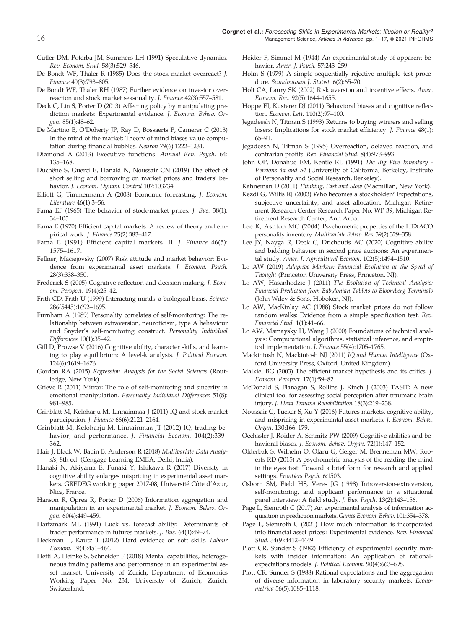- <span id="page-15-0"></span>Cutler DM, Poterba JM, Summers LH (1991) Speculative dynamics. *Rev. Econom. Stud.* 58(3):529–546.
- De Bondt WF, Thaler R (1985) Does the stock market overreact? *J. Finance* 40(3):793–805.
- De Bondt WF, Thaler RH (1987) Further evidence on investor overreaction and stock market seasonality. *J. Finance* 42(3):557–581.
- Deck C, Lin S, Porter D (2013) Affecting policy by manipulating prediction markets: Experimental evidence. *J. Econom. Behav. Organ.* 85(1):48–62.
- De Martino B, O'Doherty JP, Ray D, Bossaerts P, Camerer C (2013) In the mind of the market: Theory of mind biases value computation during financial bubbles. *Neuron* 79(6):1222–1231.
- Diamond A (2013) Executive functions. *Annual Rev. Psych.* 64: 135–168.
- Duchêne S, Guerci E, Hanaki N, Noussair CN (2019) The effect of short selling and borrowing on market prices and traders' behavior. *J. Econom. Dynam. Control* 107:103734.
- Elliott G, Timmermann A (2008) Economic forecasting. *J. Econom. Literature* 46(1):3–56.
- Fama EF (1965) The behavior of stock-market prices. *J. Bus.* 38(1): 34–105.
- Fama E (1970) Efficient capital markets: A review of theory and empirical work. *J. Finance* 25(2):383–417.
- Fama E (1991) Efficient capital markets. II. *J. Finance* 46(5): 1575–1617.
- Fellner, Maciejovsky (2007) Risk attitude and market behavior: Evidence from experimental asset markets. *J. Econom. Psych.* 28(3):338–350.
- Frederick S (2005) Cognitive reflection and decision making. *J. Econom. Perspect.* 19(4):25–42.
- Frith CD, Frith U (1999) Interacting minds–a biological basis. *Science* 286(5445):1692–1695.
- Furnham A (1989) Personality correlates of self-monitoring: The relationship between extraversion, neuroticism, type A behaviour and Snyder's self-monitoring construct. *Personality Individual Differences* 10(1):35–42.
- Gill D, Prowse V (2016) Cognitive ability, character skills, and learning to play equilibrium: A level-k analysis. *J. Political Econom.* 124(6):1619–1676.
- Gordon RA (2015) *Regression Analysis for the Social Sciences* (Routledge, New York).
- Grieve R (2011) Mirror: The role of self-monitoring and sincerity in emotional manipulation. *Personality Individual Differences* 51(8): 981–985.
- Grinblatt M, Keloharju M, Linnainmaa J (2011) IQ and stock market participation. *J. Finance* 66(6):2121–2164.
- Grinblatt M, Keloharju M, Linnainmaa JT (2012) IQ, trading behavior, and performance. *J. Financial Econom.* 104(2):339– 362.
- Hair J, Black W, Babin B, Anderson R (2018) *Multivariate Data Analysis*, 8th ed. (Cengage Learning EMEA, Delhi, India).
- Hanaki N, Akiyama E, Funaki Y, Ishikawa R (2017) Diversity in cognitive ability enlarges mispricing in experimental asset markets. GREDEG working paper 2017-08, Université Côte d'Azur, Nice, France.
- Hanson R, Oprea R, Porter D (2006) Information aggregation and manipulation in an experimental market. *J. Econom. Behav. Organ.* 60(4):449–459.
- Hartzmark ML (1991) Luck vs. forecast ability: Determinants of trader performance in futures markets. *J. Bus.* 64(1):49–74.
- Heckman JJ, Kautz T (2012) Hard evidence on soft skills. *Labour Econom.* 19(4):451–464.
- Hefti A, Heinke S, Schneider F (2018) Mental capabilities, heterogeneous trading patterns and performance in an experimental asset market. University of Zurich, Department of Economics Working Paper No. 234, University of Zurich, Zurich, Switzerland.
- Heider F, Simmel M (1944) An experimental study of apparent behavior. *Amer. J. Psych.* 57:243–259.
- Holm S (1979) A simple sequentially rejective multiple test procedure. *Scandinavian J. Statist.* 6(2):65–70.
- Holt CA, Laury SK (2002) Risk aversion and incentive effects. *Amer. Econom. Rev.* 92(5):1644–1655.
- Hoppe EI, Kusterer DJ (2011) Behavioral biases and cognitive reflection. *Econom. Lett.* 110(2):97–100.
- Jegadeesh N, Titman S (1993) Returns to buying winners and selling losers: Implications for stock market efficiency. *J. Finance* 48(1): 65–91.
- Jegadeesh N, Titman S (1995) Overreaction, delayed reaction, and contrarian profits. *Rev. Financial Stud.* 8(4):973–993.
- John OP, Donahue EM, Kentle RL (1991) *The Big Five Inventory - Versions 4a and 54* (University of California, Berkeley, Institute of Personality and Social Research, Berkeley).
- Kahneman D (2011) *Thinking, Fast and Slow* (Macmillan, New York).
- Kezdi G, Willis RJ (2003) Who becomes a stockholder? Expectations, subjective uncertainty, and asset allocation. Michigan Retirement Research Center Research Paper No. WP 39, Michigan Retirement Research Center, Ann Arbor.
- Lee K, Ashton MC (2004) Psychometric properties of the HEXACO personality inventory. *Multivariate Behav. Res.* 39(2):329–358.
- Lee JY, Nayga R, Deck C, Drichoutis AC (2020) Cognitive ability and bidding behavior in second price auctions: An experimental study. *Amer. J. Agricultural Econom.* 102(5):1494–1510.
- Lo AW (2019) *Adaptive Markets: Financial Evolution at the Speed of Thought* (Princeton University Press, Princeton, NJ).
- Lo AW, Hasanhodzic J (2011) *The Evolution of Technical Analysis: Financial Prediction from Babylonian Tablets to Bloomberg Terminals* (John Wiley & Sons, Hoboken, NJ).
- Lo AW, MacKinlay AC (1988) Stock market prices do not follow random walks: Evidence from a simple specification test. *Rev. Financial Stud.* 1(1):41–66.
- Lo AW, Mamaysky H, Wang J (2000) Foundations of technical analysis: Computational algorithms, statistical inference, and empirical implementation. *J. Finance* 55(4):1705–1765.
- Mackintosh N, Mackintosh NJ (2011) *IQ and Human Intelligence* (Oxford University Press, Oxford, United Kingdom).
- Malkiel BG (2003) The efficient market hypothesis and its critics. *J. Econom. Perspect.* 17(1):59–82.
- McDonald S, Flanagan S, Rollins J, Kinch J (2003) TASIT: A new clinical tool for assessing social perception after traumatic brain injury. *J. Head Trauma Rehabilitation* 18(3):219–238.
- Noussair C, Tucker S, Xu Y (2016) Futures markets, cognitive ability, and mispricing in experimental asset markets. *J. Econom. Behav. Organ.* 130:166–179.
- Oechssler J, Roider A, Schmitz PW (2009) Cognitive abilities and behavioral biases. *J. Econom. Behav. Organ.* 72(1):147–152.
- Olderbak S, Wilhelm O, Olaru G, Geiger M, Brenneman MW, Roberts RD (2015) A psychometric analysis of the reading the mind in the eyes test: Toward a brief form for research and applied settings. *Frontiers Psych.* 6:1503.
- Osborn SM, Field HS, Veres JG (1998) Introversion-extraversion, self-monitoring, and applicant performance in a situational panel interview: A field study. *J. Bus. Psych.* 13(2):143–156.
- Page L, Siemroth C (2017) An experimental analysis of information acquisition in prediction markets. *Games Econom. Behav.* 101:354–378.
- Page L, Siemroth C (2021) How much information is incorporated into financial asset prices? Experimental evidence. *Rev. Financial Stud.* 34(9):4412–4449.
- Plott CR, Sunder S (1982) Efficiency of experimental security markets with insider information: An application of rationalexpectations models. *J. Political Econom.* 90(4):663–698.
- Plott CR, Sunder S (1988) Rational expectations and the aggregation of diverse information in laboratory security markets. *Econometrica* 56(5):1085–1118.